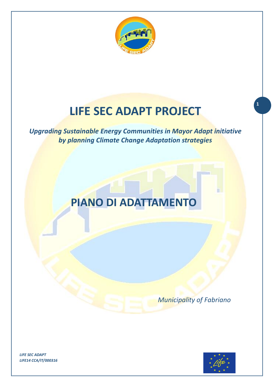

# **LIFE SEC ADAPT PROJECT**

*Upgrading Sustainable Energy Communities in Mayor Adapt initiative by planning Climate Change Adaptation strategies*

# **PIANO DI ADATTAMENTO**

 *Municipality of Fabriano*



**1**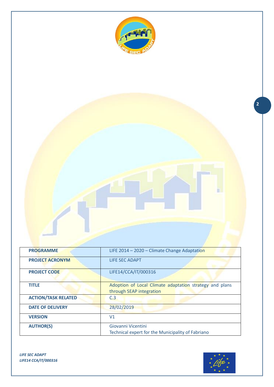

**PROGRAMME LIFE 2014 – 2020 – Climate Change Adaptation PROJECT ACRONYM** LIFE SEC ADAPT **PROJECT CODE** LIFE14/CCA/IT/000316 **TITLE** Adoption of Local Climate adaptation strategy and plans through SEAP integration **ACTION/TASK RELATED C.3 DATE OF DELIVERY** 28/02/2019 **VERSION** V1 **AUTHOR(S)** Giovanni Vicentini Technical expert for the Municipality of Fabriano

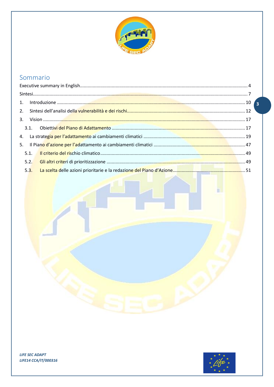

# Sommario

| 5.1. |  |
|------|--|
| 5.2. |  |
|      |  |



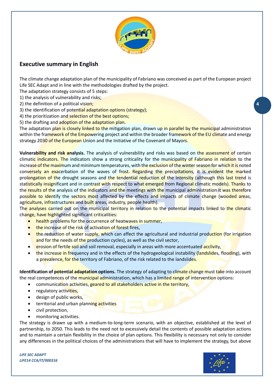

# <span id="page-3-0"></span>**Executive summary in English**

The climate change adaptation plan of the municipality of Fabriano was conceived as part of the European project Life SEC Adapt and in line with the methodologies drafted by the project.

The adaptation strategy consists of 5 steps:

1) the analysis of vulnerability and risks;

- 2) the definition of a political vision;
- 3) the identification of potential adaptation options (strategy);

4) the prioritization and selection of the best options;

5) the drafting and adoption of the adaptation plan.

The adaptation plan is closely linked to the mitigation plan, drawn up in parallel by the municipal administration within the framework of the Empowering project and within the broader framework of the EU climate and energy strategy 2030 of the European Union and the Initiative of the Covenant of Mayors.

**Vulnerability and risk analysis.** The analysis of vulnerability and risks was based on the assessment of certain climatic indicators. The indicators show a strong criticality for the municipality of Fabriano in relation to the increase of the maximum and minimum temperatures, with the exclusion of the winter season for which it is noted conversely an exacerbation of the waves of frost. Regarding the precipitations, it is evident the marked prolongation of the drought seasons and the tendential reduction of the intensity (although this last trend is statistically insignificant and in contrast with respect to what emerged from Regional climatic models). Thanks to the results of the analysis of the indicators and the meetings with the municipal administration it was therefore possible to identify the sectors most affected by the effects and impacts of climate change (wooded areas, agriculture, infrastructures and built areas, industry, people health).

The analyses carried out on the municipal territory in relation to the potential impacts linked to the climatic change, have highlighted significant criticalities:

- health problems for the occurrence of heatwaves in summer,
- the increase of the risk of activation of forest fires,
- the reduction of water supply, which can affect the agricultural and industrial production (for irrigation and for the needs of the production cycles), as well as the civil sector,
- erosion of fertile soil and soil removal, especially in areas with more accentuated acclivity,
- the increase in frequency and in the effects of the hydrogeological instability (landslides, flooding), with a prevalence, for the territory of Fabriano, of the risk related to the landslides.

**Identification of potential adaptation options.** The strategy of adapting to climate change must take into account the real competences of the municipal administration, which has a limited range of intervention options:

- communication activities, geared to all stakeholders active in the territory,
- regulatory activities,
- design of public works,
- territorial and urban planning activities
- civil protection,
- monitoring activities.

The strategy is drawn up with a medium-to-long-term scenario, with an objective, established at the level of partnership, to 2050. This leads to the need not to excessively detail the contents of possible adaptation actions and to maintain a certain flexibility in the choice of plan options. This flexibility is necessary not only to consider any differences in the political choices of the administrations that will have to implement the strategy, but above

*LIFE SEC ADAPT LIFE14 CCA/IT/000316*

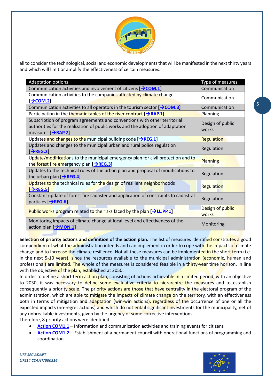

all to consider the technological, social and economic developments that will be manifested in the next thirty years and which will limit or amplify the effectiveness of certain measures.

| <b>Adaptation options</b>                                                                                                                                                                     | Type of measures          |
|-----------------------------------------------------------------------------------------------------------------------------------------------------------------------------------------------|---------------------------|
| Communication activities and involvement of citizens $[\rightarrow$ COM.1]                                                                                                                    | Communication             |
| Communication activities to the companies affected by climate change<br>$[\rightarrow$ COM.2]                                                                                                 | Communication             |
| Communication activities to all operators in the tourism sector $[\rightarrow$ COM.3]                                                                                                         | Communication             |
| Participation in the thematic tables of the river contract $[\rightarrow$ RAP.1]                                                                                                              | Planning                  |
| Subscription of program agreements and conventions with other territorial<br>authorities for the realization of public works and the adoption of adaptation<br>measures $[\rightarrow$ RAP.2] | Design of public<br>works |
| Updates and changes to the municipal building code $[\rightarrow$ REG.1]                                                                                                                      | Regulation                |
| Updates and changes to the municipal urban and rural police regulation<br>$\rightarrow$ REG.2]                                                                                                | Regulation                |
| Update/modifications to the municipal emergency plan for civil protection and to<br>the forest fire emergency plan [→REG.3]                                                                   | Planning                  |
| Updates to the technical rules of the urban plan and proposal of modifications to<br>the urban plan $[\rightarrow$ REG.4]                                                                     | Regulation                |
| Updates to the technical rules for the design of resilient neighborhoods<br>$[\rightarrow$ REG.5]                                                                                             | Regulation                |
| Constant update of forest fire cadaster and application of constraints to cadastral<br>particles [AREG.6]                                                                                     | Regulation                |
| Public works program related to the risks faced by the plan $[\rightarrow$ LL.PP.1]                                                                                                           | Design of public<br>works |
| Monitoring impacts of climate change at local level and effectiveness of the<br>action plan [→MON.1]                                                                                          | Monitoring                |

**Selection of priority actions and definition of the action plan.** The list of measures identified constitutes a good compendium of what the administration intends and can implement in order to cope with the impacts of climate change and to increase the climate resilience. Not all these measures can be implemented in the short term (i.e. in the next 5-10 years), since the resources available to the municipal administration (economic, human and professional) are limited. The whole of the measures is considered feasible in a thirty-year time horizon, in line with the objective of the plan, established at 2050.

In order to define a short-term action plan, consisting of actions achievable in a limited period, with an objective to 2030, it was necessary to define some evaluative criteria to hierarchize the measures and to establish consequently a priority scale. The priority actions are those that have centrality in the electoral program of the administration, which are able to mitigate the impacts of climate change on the territory, with an effectiveness both in terms of mitigation and adaptation (win-win actions), regardless of the occurrence of one or all the expected impacts (no-regret actions) and which do not entail significant investments for the municipality, net of any unbreakable investments, given by the urgency of some corrective interventions.

Therefore, 8 priority actions were identified.

- **Action [COM1.1](#page-50-1)** Information and communication activities and training events for citizens
- **Action [COM1.2](#page-51-0)** Establishment of a permanent council with operational functions of programming and coordination

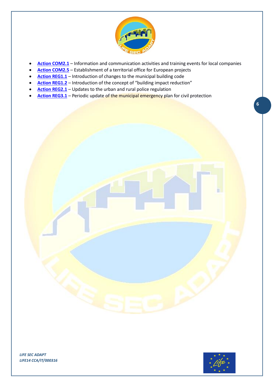

- **Action [COM2.1](#page-52-0)** Information and communication activities and training events for local companies
- **Action [COM2.5](#page-52-1)** Establishment of a territorial office for European projects
- **Action [REG1.1](#page-53-0)** Introduction of changes to the municipal building code
- **Action [REG1.2](#page-55-0)** Introduction of the concept of "building impact reduction"
- **Action [REG2.1](#page-56-0)** Updates to the urban and rural police regulation
- **Action [REG3.1](#page-57-0)** Periodic update of the municipal emergency plan for civil protection



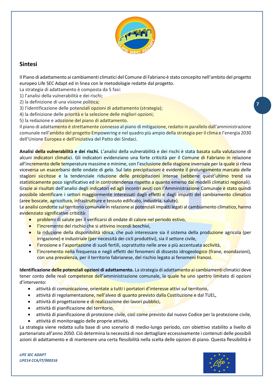

# <span id="page-6-0"></span>**Sintesi**

Il Piano di adattamento ai cambiamenti climatici del Comune di Fabriano è stato concepito nell'ambito del progetto europeo Life SEC Adapt ed in linea con le metodologie redatte dal progetto.

La strategia di adattamento è composta da 5 fasi:

1) l'analisi della vulnerabilità e dei rischi;

- 2) la definizione di una visione politica;
- 3) l'identificazione delle potenziali opzioni di adattamento (strategia);
- 4) la definizione delle priorità e la selezione delle migliori opzioni;

5) la redazione e adozione del piano di adattamento.

Il piano di adattamento è strettamente connesso al piano di mitigazione, redatto in parallelo dall'amministrazione comunale nell'ambito del progetto Empowering e nel quadro più ampio della strategia per il clima e l'energia 2030 dell'Unione Europea e dell'iniziativa del Patto dei Sindaci.

**Analisi della vulnerabilità e dei rischi.** L'analisi della vulnerabilità e dei rischi è stata basata sulla valutazione di alcuni indicatori climatici. Gli indicatori evidenziano una forte criticità per il Comune di Fabriano in relazione all'incremento delle temperature massime e minime, con l'esclusione della stagione invernale per la quale si rileva viceversa un esacerbarsi delle ondate di gelo. Sul lato precipitazioni è evidente il prolungamento marcato delle stagioni siccitose e la tendenziale riduzione delle precipitazioni intense (sebbene quest'ultimo trend sia statisticamente poco significativo ed in controtendenza rispetto a quanto emerso dai modelli climatici regionali). Grazie ai risultati dell'analisi degli indicatori ed agli incontri avuti con l'Amministrazione Comunale è stato quindi possibile identificare i settori maggiormente interessati dagli effetti e dagli impatti del cambiamento climatico (aree boscate, agricoltura, infrastrutture e tessuto edificato, industria, salute).

Le analisi condotte sul territorio comunale in relazione ai potenziali impatti legati al cambiamento climatico, hanno evidenziato significative criticità:

- problemi di salute per il verificarsi di ondate di calore nel periodo estivo,
- l'incremento del rischio che si attivino incendi boschivi,
- la riduzione della disponibilità idrica, che può interessare sia il sistema della produzione agricola (per irrigazione) e industriale (per necessità dei cicli produttivi), sia il settore civile,
- l'erosione e l'asportazione di suoli fertili, soprattutto nelle aree a più accentuata acclività,
- l'incremento nella frequenza e negli effetti dei fenomeni di dissesto idrogeologico (frane, esondazioni), con una prevalenza, per il territorio fabrianese, del rischio legato ai fenomeni franosi.

**Identificazione delle potenziali opzioni di adattamento.** La strategia di adattamento ai cambiamenti climatici deve tener conto delle reali competenze dell'amministrazione comunale, la quale ha uno spettro limitato di opzioni d'intervento:

- attività di comunicazione, orientate a tutti i portatori d'interesse attivi sul territorio,
- attività di regolamentazione, nell'alveo di quanto previsto dalla Costituzione e dal TUEL,
- attività di progettazione e di realizzazione dei lavori pubblici,
- attività di pianificazione del territorio,
- attività di pianificazione di protezione civile, così come previsto dal nuovo Codice per la protezione civile,
- attività di monitoraggio delle proprie attività.

La strategia viene redatta sulla base di uno scenario di medio-lungo periodo, con obiettivo stabilito a livello di partenariato all'anno 2050. Ciò determina la necessità di non dettagliare eccessivamente i contenuti delle possibili azioni di adattamento e di mantenere una certa flessibilità nella scelta delle opzioni di piano. Questa flessibilità è

*LIFE SEC ADAPT LIFE14 CCA/IT/000316*

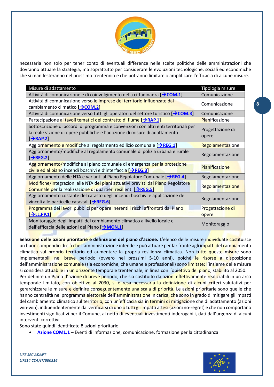

necessaria non solo per tener conto di eventuali differenze nelle scelte politiche delle amministrazioni che dovranno attuare la strategia, ma soprattutto per considerare le evoluzioni tecnologiche, sociali ed economiche che si manifesteranno nel prossimo trentennio e che potranno limitare o amplificare l'efficacia di alcune misure.

| Misure di adattamento                                                                                                                                                                    | Tipologia misure          |
|------------------------------------------------------------------------------------------------------------------------------------------------------------------------------------------|---------------------------|
| Attività di comunicazione e di coinvolgimento della cittadinanza [→ COM.1]                                                                                                               | Comunicazione             |
| Attività di comunicazione verso le imprese del territorio influenzate dal<br>cambiamento climatico [→ COM.2]                                                                             | Comunicazione             |
| Attività di comunicazione verso tutti gli operatori del settore turistico [→ COM.3]                                                                                                      | Comunicazione             |
| Partecipazione ai tavoli tematici del contratto di fiume [→RAP.1]                                                                                                                        | Pianificazione            |
| Sottoscrizione di accordi di programma e convenzioni con altri enti territoriali per<br>la realizzazione di opere pubbliche e l'adozione di misure di adattamento<br>$\rightarrow$ RAP.2 | Progettazione di<br>opere |
| Aggiornamento e modifiche al regolamento edilizio comunale [→REG.1]                                                                                                                      | Regolamentazione          |
| Aggiornamento/modifiche al regolamento comunale di polizia urbana e rurale<br>$\left[\rightarrow$ REG.2]                                                                                 | Regolamentazione          |
| Aggiornamento/modifiche al piano comunale di emergenza per la protezione<br>civile ed al piano incendi boschivi e d'interfaccia [→ REG.3]                                                | Pianificazione            |
| Aggiornamento delle NTA e varianti al Piano Regolatore Comunale [→ REG.4]                                                                                                                | Regolamentazione          |
| Modifiche/integrazioni alle NTA dei piani attuativi previsti dal Piano Regolatore<br>Comunale per la realizzazione di quartieri resilienti [→REG.5]                                      | Regolamentazione          |
| Aggiornamento costante del catasto degli incendi boschivi e applicazione dei<br>vincoli alle particelle catastali $[\rightarrow$ REG.6]                                                  | Regolamentazione          |
| Programma dei lavori pubblici per opere inerenti i rischi affrontati dal Piano                                                                                                           | Progettazione di          |
| $\rightarrow$ LL.PP.1]                                                                                                                                                                   | opere                     |
| Monitoraggio degli impatti del cambiamento climatico a livello locale e<br>dell'efficacia delle azioni del Piano [> MON.1]                                                               | Monitoraggio              |

**Selezione delle azioni prioritarie e definizione del piano d'azione.** L'elenco delle misure individuate costituisce un buon compendio di ciò che l'amministrazione intende e può attuare per far fronte agli impatti del cambiamento climatico sul proprio territorio ed aumentare la propria resilienza climatica. Non tutte queste misure sono implementabili nel breve periodo (ovvero nei prossimi 5-10 anni), poiché le risorse a disposizione dell'amministrazione comunale (sia economiche, che umane e professionali) sono limitate; l'insieme delle misure si considera attuabile in un orizzonte temporale trentennale, in linea con l'obiettivo del piano, stabilito al 2050. Per definire un Piano d'azione di breve periodo, che sia costituito da azioni effettivamente realizzabili in un arco temporale limitato, con obiettivo al 2030, si è resa necessaria la definizione di alcuni criteri valutativi per gerarchizzare le misure e definire conseguentemente una scala di priorità. Le azioni prioritarie sono quelle che hanno centralità nel programma elettorale dell'amministrazione in carica, che sono in grado di mitigare gli impatti del cambiamento climatico sul territorio, con un'efficacia sia in termini di mitigazione che di adattamento (azioni win-win), indipendentemente dal verificarsi di uno o tutti gli impatti attesi (azioni no-regret) e che non comportano investimenti significativi per il Comune, al netto di eventuali investimenti inderogabili, dati dall'urgenza di alcuni interventi correttivi.

Sono state quindi identificate 8 azioni prioritarie.

• **[Azione COM1.1](#page-50-1)** – Eventi di informazione, comunicazione, formazione per la cittadinanza

*LIFE SEC ADAPT LIFE14 CCA/IT/000316*

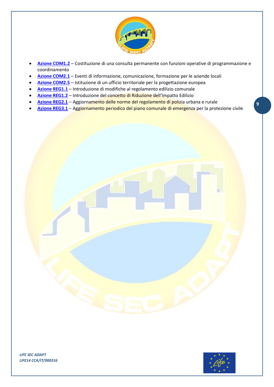

- **[Azione COM1.2](#page-51-0)** Costituzione di una consulta permanente con funzioni operative di programmazione e coordinamento
- **[Azione COM2.1](#page-52-0)** Eventi di informazione, comunicazione, formazione per le aziende locali
- **[Azione COM2.5](#page-52-1)** Istituzione di un ufficio territoriale per la progettazione europea
- **[Azione REG1.1](#page-53-0)** Introduzione di modifiche al regolamento edilizio comunale
- **[Azione REG1.2](#page-55-0)** Introduzione del concetto di Riduzione dell'Impatto Edilizio
- **[Azione REG2.1](#page-56-0)** Aggiornamento delle norme del regolamento di polizia urbana e rurale
- **[Azione REG3.1](#page-57-0)** Aggiornamento periodico del piano comunale di emergenza per la protezione civile



**9**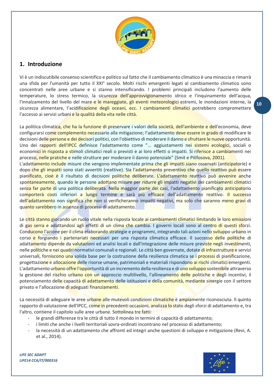

## <span id="page-9-0"></span>**1. Introduzione**

Vi è un indiscutibile consenso scientifico e politico sul fatto che il cambiamento climatico è una minaccia e rimarrà una sfida per l'umanità per tutto il XXI° secolo. Molti rischi emergenti legati al cambiamento climatico sono concentrati nelle aree urbane e si stanno intensificando. I problemi principali includono l'aumento delle temperature, lo stress termico, la sicurezza dell'approvvigionamento idrico e l'inquinamento dell'acqua, l'innalzamento del livello del mare e le mareggiate, gli eventi meteorologici estremi, le inondazioni interne, la sicurezza alimentare, l'acidificazione degli oceani, ecc. I cambiamenti climatici potrebbero compromettere l'accesso ai servizi urbani e la qualità della vita nelle città.

La politica climatica, che ha la funzione di preservare i valori della società, dell'ambiente e dell'economia, deve configurarsi come complemento necessario alla mitigazione; l'adattamento deve essere in grado di modificare le decisioni delle persone e dei decisori politici, con l'obiettivo di moderare il danno e sfruttare le nuove opportunità. Uno dei rapporti dell'IPCC definisce l'adattamento come "... aggiustamenti nei sistemi ecologici, sociali o economici in risposta a stimoli climatici reali o previsti e ai loro effetti o impatti. Si riferisce a cambiamenti nei processi, nelle pratiche e nelle strutture per moderare il danno potenziale" (Smit e Pilifosova, 2001).

L'adattamento include misure che vengono implementate prima che gli impatti siano osservati (anticipatorie) e dopo che gli impatti sono stati avvertiti (reattive). Sia l'adattamento preventivo che quello reattivo può essere pianificato, cioè è il risultato di decisioni politiche deliberate. L'adattamento reattivo può avvenire anche spontaneamente, quando le persone adottano misure per ridurre gli impatti negativi dei cambiamenti climatici senza far parte di una politica deliberata. Nella maggior parte dei casi, l'adattamento pianificato anticipatorio comporterà costi inferiori a lungo termine e sarà più efficace dell'adattamento reattivo. Il successo dell'adattamento non significa che non si verificheranno impatti negativi, ma solo che saranno meno gravi di quanto sarebbero in assenza di processi di adattamento.

Le città stanno giocando un ruolo vitale nella risposta locale ai cambiamenti climatici limitando le loro emissioni di gas serra e adattandosi agli effetti di un clima che cambia. I governi locali sono al centro di questi sforzi. Conducono l'azione per il clima elaborando strategie e programmi, integrando tali azioni nello sviluppo urbano in corso e forgiando i partenariati necessari per una risposta climatica efficace. Il successo delle politiche di adattamento dipende da valutazioni ed analisi locali e dall'integrazione delle misure previste negli investimenti, nelle politiche e nei quadri normativi comunali e regionali. Le città ben governate, dotate di infrastrutture e servizi universali, forniscono una solida base per la costruzione della resilienza climatica se i processi di pianificazione, progettazione e allocazione delle risorse umane, patrimoniali e materiali rispondono ai rischi climatici emergenti. L'adattamento urbano offre l'opportunità di un incremento della resilienza e di uno sviluppo sostenibile attraverso la gestione del rischio urbano con un approccio multilivello, l'allineamento delle politiche e degli incentivi, il potenziamento delle capacità di adattamento delle istituzioni e della comunità, mediante sinergie con il settore privato e l'allocazione di adeguati finanziamenti.

La necessità di adeguare le aree urbane alle mutevoli condizioni climatiche è ampiamente riconosciuta. Il quinto rapporto di valutazione dell'IPCC, come in precedenti occasioni, analizza lo stato degli sforzi di adattamento e, tra l'altro, contiene il capitolo sulle aree urbane. Sottolinea tre fatti:

- le grandi differenze tra le città di tutto il mondo in termini di capacità di adattamento;
- i limiti che anche i livelli territoriali sovra-ordinati incontrano nel processo di adattamento;
- la necessità di un adattamento che affronti ed integri anche questioni di sviluppo e mitigazione (Revi, A. et al., 2014).

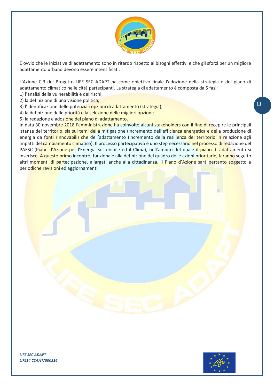

È ovvio che le iniziative di adattamento sono in ritardo rispetto ai bisogni effettivi e che gli sforzi per un migliore adattamento urbano devono essere intensificati.

L'Azione C.3 del Progetto LIFE SEC ADAPT ha come obiettivo finale l'adozione della strategia e del piano di adattamento climatico nelle città partecipanti. La strategia di adattamento è composta da 5 fasi:

1) l'analisi della vulnerabilità e dei rischi;

- 2) la definizione di una visione politica;
- 3) l'identificazione delle potenziali opzioni di adattamento (strategia);
- 4) la definizione delle priorità e la selezione delle migliori opzioni;
- 5) la redazione e adozione del piano di adattamento.

In data 30 novembre 2018 l'amministrazione ha coinvolto alcuni stakeholders con il fine di recepire le principali istanze del territorio, sia sui temi della mitigazione (incremento dell'efficienza energetica e della produzione di energia da fonti rinnovabili) che dell'adattamento (incremento della resilienza del territorio in relazione agli impatti del cambiamento climatico). Il processo partecipativo è uno step necessario nel processo di redazione del PAESC (Piano d'Azione per l'Energia Sostenibile ed il Clima), nell'ambito del quale il piano di adattamento si inserisce. A questo primo incontro, funzionale alla definizione del quadro delle azioni prioritarie, faranno seguito altri momenti di partecipazione, allargati anche alla cittadinanza. Il Piano d'Azione sarà pertanto soggetto a periodiche revisioni ed aggiornamenti.

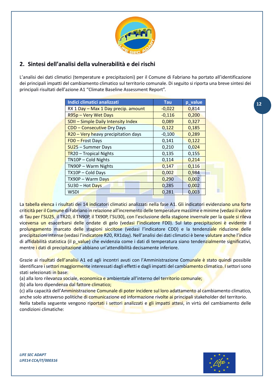

# <span id="page-11-0"></span>**2. Sintesi dell'analisi della vulnerabilità e dei rischi**

L'analisi dei dati climatici (temperature e precipitazioni) per il Comune di Fabriano ha portato all'identificazione dei principali impatti del cambiamento climatico sul territorio comunale. Di seguito si riporta una breve sintesi dei principali risultati dell'azione A1 "Climate Baseline Assessment Report".

| p_value |
|---------|
| 0,814   |
| 0,200   |
| 0,327   |
| 0,185   |
| 0,289   |
| 0,122   |
| 0,024   |
| 0,155   |
| 0,214   |
| 0,116   |
| 0,984   |
| 0,002   |
| 0,002   |
| 0,003   |
|         |

La tabella elenca i risultati dei 14 indicatori climatici analizzati nella fase A1. Gli indicatori evidenziano una forte criticità per il Comune di Fabriano in relazione all'incremento delle temperature massime e minime (vedasi il valore di Tau per l'SU25, il TR20, il TN90P, il TX90P, l'SU30), con l'esclusione della stagione invernale per la quale si rileva viceversa un esacerbarsi delle ondate di gelo (vedasi l'indicatore FD0). Sul lato precipitazioni è evidente il prolungamento marcato delle stagioni siccitose (vedasi l'indicatore CDD) e la tendenziale riduzione delle precipitazioni intense (vedasi l'indicatore R20, RX1day). Nell'analisi dei dati climatici è bene valutare anche l'indice di affidabilità statistica (il p\_value) che evidenzia come i dati di temperatura siano tendenzialmente significativi, mentre i dati di precipitazione abbiano un'attendibilità decisamente inferiore.

Grazie ai risultati dell'analisi A1 ed agli incontri avuti con l'Amministrazione Comunale è stato quindi possibile identificare i settori maggiormente interessati dagli effetti e dagli impatti del cambiamento climatico. I settori sono stati selezionati in base:

(a) alla loro rilevanza sociale, economica e ambientale all'interno del territorio comunale;

(b) alla loro dipendenza dal fattore climatico;

(c) alla capacità dell'Amministrazione Comunale di poter incidere sul loro adattamento al cambiamento climatico, anche solo attraverso politiche di comunicazione ed informazione rivolte ai principali stakeholder del territorio. Nella tabella seguente vengono riportati i settori analizzati e gli impatti attesi, in virtù del cambiamento delle condizioni climatiche:

*LIFE SEC ADAPT LIFE14 CCA/IT/000316*

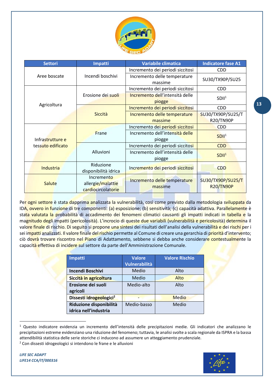

| <b>Settori</b>    | Impatti                                               | <b>Variabile climatica</b>                | <b>Indicatore fase A1</b>             |
|-------------------|-------------------------------------------------------|-------------------------------------------|---------------------------------------|
|                   |                                                       | Incremento dei periodi siccitosi          | <b>CDD</b>                            |
| Aree boscate      | Incendi boschivi                                      | Incremento delle temperature<br>massime   | SU30/TX90P/SU25                       |
|                   |                                                       | Incremento dei periodi siccitosi          | <b>CDD</b>                            |
|                   | Erosione dei suoli                                    | Incremento dell'intensità delle<br>piogge | SDII <sup>1</sup>                     |
| Agricoltura       |                                                       | Incremento dei periodi siccitosi          | <b>CDD</b>                            |
|                   | Siccità                                               | Incremento delle temperature<br>massime   | SU30/TX90P/SU25/T<br>R20/TN90P        |
|                   |                                                       | Incremento dei periodi siccitosi          | <b>CDD</b>                            |
| Infrastrutture e  | Frane                                                 | Incremento dell'intensità delle<br>piogge | SDII <sup>1</sup>                     |
| tessuto edificato |                                                       | Incremento dei periodi siccitosi          | <b>CDD</b>                            |
|                   | Alluvioni                                             | Incremento dell'intensità delle<br>piogge | SDII <sup>1</sup>                     |
| Industria         | Riduzione<br>disponibilità idrica                     | Incremento dei periodi siccitosi          | <b>CDD</b>                            |
| Salute            | Incremento<br>allergie/malattie<br>cardiocircolatorie | Incremento delle temperature<br>massime   | SU30/TX90P/SU25/T<br><b>R20/TN90P</b> |

Per ogni settore è stata dapprima analizzata la vulnerabilità, così come previsto dalla metodologia sviluppata da IDA, ovvero in funzione di tre componenti: (a) esposizione; (b) sensitività; (c) capacità adattiva. Parallelamente è stata valutata la probabilità di accadimento dei fenomeni climatici causanti gli impatti indicati in tabella e la magnitudo degli impatti (pericolosità). L'incrocio di queste due variabili (vulnerabilità e pericolosità) determina il valore finale di rischio. Di seguito si propone una sintesi dei risultati dell'analisi della vulnerabilità e dei rischi per i sei impatti analizzati. Il valore finale del rischio permette al Comune di creare una gerarchia di priorità d'intervento; ciò dovrà trovare riscontro nel Piano di Adattamento, sebbene si debba anche considerare contestualmente la capacità effettiva di incidere sul settore da parte dell'Amministrazione Comunale.

| <b>Impatti</b>                      | <b>Valore</b> | <b>Valore Rischio</b> |
|-------------------------------------|---------------|-----------------------|
|                                     | Vulnerabilità |                       |
| Incendi Boschivi                    | Medio         | Alto                  |
| Siccità in agricoltura              | Medio         | Alto                  |
| Erosione dei suoli                  | Medio-alto    | Alto                  |
| agricoli                            |               |                       |
| Dissesti idrogeologici <sup>2</sup> |               | Medio                 |
| Riduzione disponibilità             | Medio-basso   | Medio                 |
| idrica nell'industria               |               |                       |

<sup>1</sup> Questo indicatore evidenzia un incremento dell'intensità delle precipitazioni medie. Gli indicatori che analizzano le precipitazioni estreme evidenziano una riduzione del fenomeno; tuttavia, le analisi svolte a scala regionale da ISPRA e la bassa attendibilità statistica delle serie storiche ci inducono ad assumere un atteggiamento prudenziale. <sup>2</sup> Con dissesti idrogeologici si intendono le frane e le alluvioni

 $\overline{a}$ 

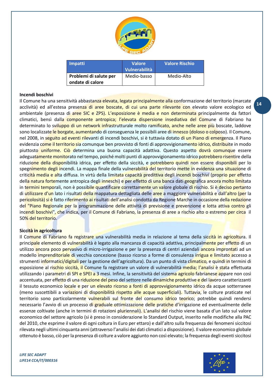

| <b>Impatti</b>         | <b>Valore</b> | <b>Valore Rischio</b> |
|------------------------|---------------|-----------------------|
|                        | Vulnerabilità |                       |
| Problemi di salute per | Medio-basso   | Medio-Alto            |
| ondate di calore       |               |                       |

## **Incendi boschivi**

Il Comune ha una sensitività abbastanza elevata, legata principalmente alla conformazione del territorio (marcate acclività) ed all'estesa presenza di aree boscate, di cui una parte rilevante con elevato valore ecologico ed ambientale (presenza di aree SIC e ZPS). L'esposizione è media e non determinata principalmente da fattori climatici, bensì dalla componente antropica; l'elevata dispersione insediativa del Comune di Fabriano ha determinato lo sviluppo di un network infrastrutturale molto ramificato, anche nelle aree più boscate, laddove sono localizzate le borgate, aumentando di conseguenza le possibili aree di innesco (doloso o colposo). Il Comune, nel 2008, in seguito ad eventi rilevanti di incendi boschivi, si è tuttavia dotato di un Piano di emergenza. Il Piano evidenzia come il territorio sia comunque ben provvisto di fonti di approvvigionamento idrico, distribuite in modo piuttosto uniforme. Ciò determina una buona capacità adattiva. Questo aspetto dovrà comunque essere adeguatamente monitorato nel tempo, poiché molti punti di approvvigionamento idrico potrebbero risentire della riduzione della disponibilità idrica, per effetto della siccità, e potrebbero quindi non essere disponibili per lo spegnimento degli incendi. La mappa finale della vulnerabilità del territorio mette in evidenza una situazione di criticità media e alta diffusa. In virtù della limitata capacità predittiva degli incendi boschivi (proprio per effetto della natura fortemente antropica degli inneschi) e per effetto di una banca dati geografica ancora molto limitata in termini temporali, non è possibile quantificare correttamente un valore globale di rischio. Si è deciso pertanto di utilizzare d'un lato i risultati della mappatura dettagliata delle aree a maggiore vulnerabilità e dall'altro (per la pericolosità) si è fatto riferimento ai risultati dell'analisi condotta da Regione Marche in occasione della redazione del "Piano Regionale per la programmazione delle attività di previsione e prevenzione e lotta attiva contro gli incendi boschivi", che indica, per il Comune di Fabriano, la presenza di aree a rischio alto o estremo per circa il 50% del territorio.

#### **Siccità in agricoltura**

Il Comune di Fabriano fa registrare una vulnerabilità media in relazione al tema della siccità in agricoltura. Il principale elemento di vulnerabilità è legato alla mancanza di capacità adattiva, principalmente per effetto di un utilizzo ancora poco pervasivo di micro-irrigazione e per la presenza di centri aziendali ancora improntati ad un modello imprenditoriale di vecchia concezione (basso ricorso a forme di consulenza irrigua e limitato accesso a strumenti informatici/digitali per la gestione dell'agricoltura). Da un punto di vista climatico, e quindi in termini di esposizione al rischio siccità, il Comune fa registrare un valore di vulnerabilità media; l'analisi è stata effettuata utilizzando i parametri di SPI e SPEI a 3 mesi. Infine, la sensitività del sistema agricolo fabrianese appare non così accentuata, per effetto di una riduzione del peso del settore nelle dinamiche produttive e del lavoro caratterizzanti il tessuto economico locale e per un elevato ricorso a fonti di approvvigionamento idrico da acque sotterranee (meno suscettibili a variazioni di disponibilità rispetto alle acque superficiali). Tuttavia, le colture praticate nel territorio sono particolarmente vulnerabili sul fronte del consumo idrico teorico; potrebbe quindi rendersi necessario l'avvio di un processo di graduale ottimizzazione delle pratiche d'irrigazione ed eventualmente delle essenze coltivate (anche in termini di rotazioni pluriennali). L'analisi del rischio viene basata d'un lato sul valore economico del settore agricolo (si è preso in considerazione lo Standard Output, inserito nelle modifiche alla PAC del 2010, che esprime il valore di ogni coltura in Euro per ettaro) e dall'altro sulla frequenza dei fenomeni siccitosi rilevata negli ultimi cinquanta anni (attraverso l'analisi dei dati climatici a disposizione). Il valore economico globale ottenuto è basso, ciò per la presenza di colture a valore aggiunto non così elevato; la frequenza degli eventi siccitosi

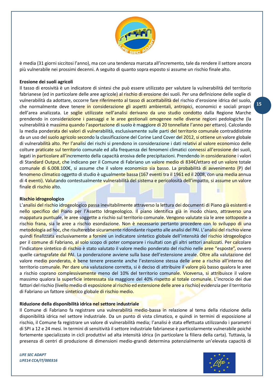

è media (31 giorni siccitosi l'anno), ma con una tendenza marcata all'incremento, tale da rendere il settore ancora più vulnerabile nei prossimi decenni. A seguito di quanto sopra esposto si assume un rischio finale alto.

### **Erosione dei suoli agricoli**

Il tasso di erosività è un indicatore di sintesi che può essere utilizzato per valutare la vulnerabilità del territorio fabrianese (ed in particolare delle aree agricole) al rischio di erosione dei suoli. Per una definizione delle soglie di vulnerabilità da adottare, occorre fare riferimento al tasso di accettabilità del rischio d'erosione idrica del suolo, che normalmente deve tenere in considerazione gli aspetti ambientali, antropici, economici e sociali propri dell'area analizzata. Le soglie utilizzate nell'analisi derivano da uno studio condotto dalla Regione Marche prendendo in considerazione i paesaggi e le aree gestionali omogenee nelle diverse regioni pedologiche (la vulnerabilità è massima quando l'asportazione di suolo è maggiore di 20 tonnellate l'anno per ettaro). Calcolando la media ponderata dei valori di vulnerabilità, esclusivamente sulle parti del territorio comunale contraddistinte da un uso del suolo agricolo secondo la classificazione del Corine Land Cover del 2012, si ottiene un valore globale di vulnerabilità alto. Per l'analisi dei rischi si prendono in considerazione i dati relativi al valore economico delle colture praticate sul territorio comunale ed alla frequenza dei fenomeni climatici connessi all'erosione dei suoli, legati in particolare all'incremento della capacità erosiva delle precipitazioni. Prendendo in considerazione i valori di Standard Output, che indicano per il Comune di Fabriano un valore medio di 834€/ettaro ed un valore totale comunale di 6.008.100€, si assume che il valore economico sia basso. La probabilità di avvenimento (P) del fenomeno climatico oggetto di studio è ugualmente bassa (167 eventi tra il 1961 ed il 2008, con una media annua di 4 eventi). Valutando contestualmente vulnerabilità del sistema e pericolosità dell'impatto, si assume un valore finale di rischio alto.

### **Rischio idrogeologico**

L'analisi del rischio idrogeologico passa inevitabilmente attraverso la lettura dei documenti di Piano già esistenti e nello specifico del Piano per l'Assetto Idrogeologico. Il piano identifica già in modo chiaro, attraverso una mappatura puntuale, le aree soggette a rischio sul territorio comunale. Vengono valutate sia le aree sottoposte a rischio frana, sia le aree a rischio esondazione. Non è necessario pertanto procedere con lo sviluppo di una metodologia ad hoc, che risulterebbe sicuramente ridondante rispetto alle analisi del PAI. L'analisi del rischio viene quindi finalizzata esclusivamente a fornire un indicatore sintetico globale dell'intensità del rischio idrogeologico per il comune di Fabriano, al solo scopo di poter comparare i risultati con gli altri settori analizzati. Per calcolare l'indicatore sintetico di rischio è stato valutato il valore medio ponderato del rischio nelle aree "esposte", ovvero quelle cartografate dal PAI. La ponderazione avviene sulla base dell'estensione areale. Oltre alla valutazione del valore medio ponderato, è bene tenere presente anche l'estensione stessa delle aree a rischio all'interno del territorio comunale. Per dare una valutazione corretta, si è deciso di attribuire il valore più basso qualora le aree a rischio coprano complessivamente meno del 10% del territorio comunale. Viceversa, si attribuisce il valore massimo qualora la superficie interessata sia maggiore del 40% rispetto al totale comunale. L'incrocio dei due fattori del rischio (livello medio di esposizione al rischio ed estensione delle aree a rischio) evidenzia per il territorio di Fabriano un fattore sintetico globale di rischio medio.

## **Riduzione della disponibilità idrica nel settore industriale**

Il Comune di Fabriano fa registrare una vulnerabilità medio-bassa in relazione al tema della riduzione della disponibilità idrica nel settore industriale. Da un punto di vista climatico, e quindi in termini di esposizione al rischio, il Comune fa registrare un valore di vulnerabilità media; l'analisi è stata effettuata utilizzando i parametri di SPI a 12 e 24 mesi. In termini di sensitività il settore industriale fabrianese è particolarmente vulnerabile poiché fortemente specializzato in cicli produttivi ad alta intensità idrica (in particolare la filiera della carta). Tuttavia, la presenza di centri di produzione di dimensioni medio-grandi determina potenzialmente un'elevata capacità di

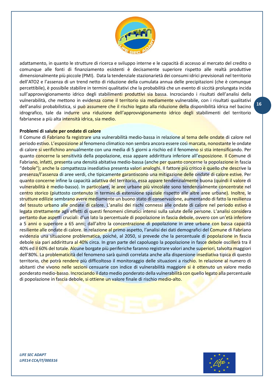

adattamento, in quanto le strutture di ricerca e sviluppo interne e le capacità di accesso al mercato del credito o comunque alle fonti di finanziamento esistenti è decisamente superiore rispetto alle realtà produttive dimensionalmente più piccole (PMI). Data la tendenziale stazionarietà dei consumi idrici previsionali nel territorio dell'ATO2 e l'assenza di un trend netto di riduzione della cumulata annua delle precipitazioni (che è comunque percettibile), è possibile stabilire in termini qualitativi che la probabilità che un evento di siccità prolungata incida sull'approvvigionamento idrico degli stabilimenti produttivi sia bassa. Incrociando i risultati dell'analisi della vulnerabilità, che mettono in evidenza come il territorio sia mediamente vulnerabile, con i risultati qualitativi dell'analisi probabilistica, si può assumere che il rischio legato alla riduzione della disponibilità idrica nel bacino idrografico, tale da indurre una riduzione dell'approvvigionamento idrico degli stabilimenti del territorio fabrianese a più alta intensità idrica, sia medio.

## **Problemi di salute per ondate di calore**

Il Comune di Fabriano fa registrare una vulnerabilità medio-bassa in relazione al tema delle ondate di calore nel periodo estivo. L'esposizione al fenomeno climatico non sembra ancora essere così marcata, nonostante le ondate di calore si verifichino annualmente con una media di 5 giorni a rischio ed il fenomeno si stia intensificando. Per quanto concerne la sensitività della popolazione, essa appare addirittura inferiore all'esposizione. Il Comune di Fabriano, infatti, presenta una densità abitativa medio-bassa (anche per quanto concerne la popolazione in fascia "debole"); anche la compattezza insediativa presenta valori analoghi. Il fattore più critico è quello che descrive la presenza/l'assenza di aree verdi, che tipicamente garantiscono una mitigazione delle ondate di calore estive. Per quanto concerne infine la capacità adattiva del territorio, essa appare tendenzialmente buona (quindi il valore di vulnerabilità è medio-basso). In particolare, le aree urbane più vincolate sono tendenzialmente concentrate nel centro storico (piuttosto contenuto in termini di estensione spaziale rispetto alle altre aree urbane). Inoltre, le strutture edilizie sembrano avere mediamente un buono stato di conservazione, aumentando di fatto la resilienza del tessuto urbano alle ondate di calore. L'analisi dei rischi connessi alle ondate di calore nel periodo estivo è legata strettamente agli effetti di questi fenomeni climatici intensi sulla salute delle persone. L'analisi considera pertanto due aspetti cruciali: d'un lato la percentuale di popolazione in fascia debole, ovvero con un'età inferiore a 5 anni o superiore a 65 anni; dall'altro la concentrazione di popolazione in aree urbane con bassa capacità resiliente alle ondate di calore. In relazione al primo aspetto, l'analisi dei dati demografici del Comune di Fabriano evidenzia una situazione problematica, poiché, al 2050, si prevede che la percentuale di popolazione in fascia debole sia pari addirittura al 40% circa. In gran parte del capoluogo la popolazione in fasce debole oscillerà tra il 40% ed il 60% del totale. Alcune borgate più periferiche faranno registrare valori anche superiori, talvolta maggiori dell'80%. La problematicità del fenomeno sarà quindi correlata anche alla dispersione insediativa tipica di questo territorio, che potrà rendere più difficoltoso il monitoraggio delle situazioni a rischio. In relazione al numero di abitanti che vivono nelle sezioni censuarie con indice di vulnerabilità maggiore si è ottenuto un valore medio ponderato medio-basso. Incrociando il dato medio ponderato della vulnerabilità con quello legato alla percentuale di popolazione in fascia debole, si ottiene un valore finale di rischio medio-alto.

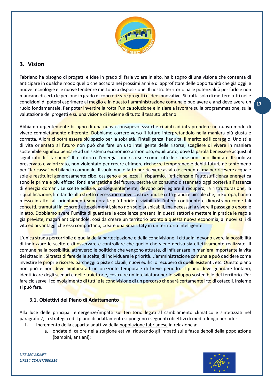

# <span id="page-16-0"></span>**3. Vision**

Fabriano ha bisogno di progetti e idee in grado di farla volare in alto, ha bisogno di una visione che consenta di anticipare in qualche modo quello che accadrà nei prossimi anni e di approfittare delle opportunità che già oggi le nuove tecnologie e le nuove tendenze mettono a disposizione. Il nostro territorio ha le potenzialità per farlo e non mancano di certo le persone in grado di concretizzare progetti e idee innovative. Si tratta solo di mettere tutti nelle condizioni di potersi esprimere al meglio e in questo l'amministrazione comunale può avere e anzi deve avere un ruolo fondamentale. Per poter invertire la rotta l'unica soluzione è iniziare a lavorare sulla programmazione, sulla valutazione dei progetti e su una visione di insieme di tutto il tessuto urbano.

Abbiamo urgentemente bisogno di una nuova consapevolezza che ci aiuti ad intraprendere un nuovo modo di vivere completamente differente. Dobbiamo correre verso il futuro interpretandolo nella maniera più giusta e corretta. Allora ci potrà essere più spazio per la sobrietà, l'intelligenza, l'equità, il merito ed il coraggio. Uno stile di vita orientato al futuro non può che fare un uso intelligente delle risorse; scegliere di vivere in maniera sostenibile significa pensare ad un sistema economico armonioso, equilibrato, dove la parola benessere acquisti il significato di "star bene". Il territorio e l'energia sono risorse e come tutte le risorse non sono illimitate. Il suolo va preservato e valorizzato, non violentato per creare effimere ricchezze temporanee e debiti futuri, né tantomeno per "far cassa" nel bilancio comunale. Il suolo non è fatto per ricevere asfalto e cemento, ma per ricevere acqua e sole e restituirci generosamente cibo, ossigeno e bellezza. Il risparmio, l'efficienza e l'autosufficienza energetica sono le prime e più efficaci fonti energetiche del futuro, perché un consumo dissennato oggi porterà all'assenza di energia domani. Le scelte edilizie, conseguentemente, devono privilegiare il recupero, la ristrutturazione, la riqualificazione, limitando allo stretto necessario nuove costruzioni. Le città grandi e piccole che, in Europa, hanno messo in atto tali orientamenti sono ora le più floride e vivibili dell'intero continente e dimostrano come tali concetti, tramutati in concreti atteggiamenti, siano non solo auspicabili, ma necessari a vivere il passaggio epocale in atto. Dobbiamo avere l'umiltà di guardare le eccellenze presenti in questi settori e mettere in pratica le regole già previste, magari anticipandole, così da creare un territorio pronto a questa nuova economia, ai nuovi stili di vita ed ai vantaggi che essi comportano, creare una Smart City in un territorio Intelligente.

L'unica strada percorribile è quella della partecipazione e della condivisione. I cittadini devono avere la possibilità di indirizzare le scelte e di osservare e controllare che quello che viene deciso sia effettivamente realizzato. Il comune ha la possibilità, attraverso le politiche che vengono attuate, di influenzare in maniera importante la vita dei cittadini. Si tratta di fare delle scelte, di individuare le priorità. L'amministrazione comunale può decidere come investire le proprie risorse: parcheggi o piste ciclabili, nuovi edifici o recupero di quelli esistenti, etc. Questo piano non può e non deve limitarsi ad un orizzonte temporale di breve periodo. Il piano deve guardare lontano, identificare degli scenari e delle traiettorie, costruire un'intelaiatura per lo sviluppo sostenibile del territorio. Per fare ciò serve il coinvolgimento di tutti e la condivisione di un percorso che sarà certamente irto di ostacoli. Insieme si può fare.

## <span id="page-16-1"></span>**3.1. Obiettivi del Piano di Adattamento**

Alla luce delle principali emergenze/impatti sul territorio legati al cambiamento climatico e sintetizzati nel paragrafo 2, la strategia ed il piano di adattamento si pongono i seguenti obiettivi di medio-lungo periodo:

- **I.** Incremento della capacità adattiva della popolazione fabrianese in relazione a:
	- a. ondate di calore nella stagione estiva, riducendo gli impatti sulle fasce deboli della popolazione (bambini, anziani);

*LIFE SEC ADAPT LIFE14 CCA/IT/000316*

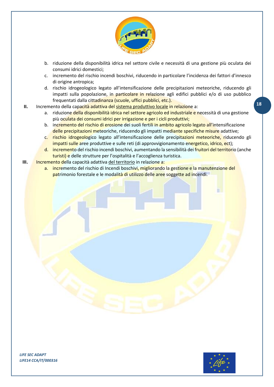

- b. riduzione della disponibilità idrica nel settore civile e necessità di una gestione più oculata dei consumi idrici domestici;
- c. incremento del rischio incendi boschivi, riducendo in particolare l'incidenza dei fattori d'innesco di origine antropica;
- d. rischio idrogeologico legato all'intensificazione delle precipitazioni meteoriche, riducendo gli impatti sulla popolazione, in particolare in relazione agli edifici pubblici e/o di uso pubblico frequentati dalla cittadinanza (scuole, uffici pubblici, etc.).
- **II.** Incremento della capacità adattiva del sistema produttivo locale in relazione a:
	- a. riduzione della disponibilità idrica nel settore agricolo ed industriale e necessità di una gestione più oculata dei consumi idrici per irrigazione e per i cicli produttivi;
	- b. incremento del rischio di erosione dei suoli fertili in ambito agricolo legato all'intensificazione delle precipitazioni meteoriche, riducendo gli impatti mediante specifiche misure adattive;
	- c. rischio idrogeologico legato all'intensificazione delle precipitazioni meteoriche, riducendo gli impatti sulle aree produttive e sulle reti (di approvvigionamento energetico, idrico, ect);
	- d. incremento del rischio incendi boschivi, aumentando la sensibilità dei fruitori del territorio (anche turisti) e delle strutture per l'ospitalità e l'accoglienza turistica.

## **III.** Incremento della capacità adattiva del territorio in relazione a:

a. incremento del rischio di Incendi boschivi, migliorando la gestione e la manutenzione del patrimonio forestale e le modalità di utilizzo delle aree soggette ad incendi.

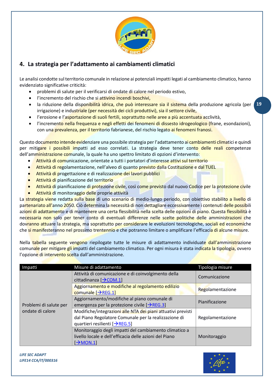

# <span id="page-18-0"></span>**4. La strategia per l'adattamento ai cambiamenti climatici**

Le analisi condotte sul territorio comunale in relazione ai potenziali impatti legati al cambiamento climatico, hanno evidenziato significative criticità:

- problemi di salute per il verificarsi di ondate di calore nel periodo estivo,
- l'incremento del rischio che si attivino incendi boschivi,
- **19** la riduzione della disponibilità idrica, che può interessare sia il sistema della produzione agricola (per irrigazione) e industriale (per necessità dei cicli produttivi), sia il settore civile,
- l'erosione e l'asportazione di suoli fertili, soprattutto nelle aree a più accentuata acclività,
- l'incremento nella frequenza e negli effetti dei fenomeni di dissesto idrogeologico (frane, esondazioni), con una prevalenza, per il territorio fabrianese, del rischio legato ai fenomeni franosi.

Questo documento intende evidenziare una possibile strategia per l'adattamento ai cambiamenti climatici e quindi per mitigare i possibili impatti ad esso correlati. La strategia deve tener conto delle reali competenze dell'amministrazione comunale, la quale ha uno spettro limitato di opzioni d'intervento:

- Attività di comunicazione, orientate a tutti i portatori d'interesse attivi sul territorio
- Attività di regolamentazione, nell'alveo di quanto previsto dalla Costituzione e dal TUEL
- Attività di progettazione e di realizzazione dei lavori pubblici
- Attività di pianificazione del territorio
- Attività di pianificazione di protezione civile, così come previsto dal nuovo Codice per la protezione civile
- Attività di monitoraggio delle proprie attività

La strategia viene redatta sulla base di uno scenario di medio-lungo periodo, con obiettivo stabilito a livello di partenariato all'anno 2050. Ciò determina la necessità di non dettagliare eccessivamente i contenuti delle possibili azioni di adattamento e di mantenere una certa flessibilità nella scelta delle opzioni di piano. Questa flessibilità è necessaria non solo per tener conto di eventuali differenze nelle scelte politiche delle amministrazioni che dovranno attuare la strategia, ma soprattutto per considerare le evoluzioni tecnologiche, sociali ed economiche che si manifesteranno nel prossimo trentennio e che potranno limitare o amplificare l'efficacia di alcune misure.

Nella tabella seguente vengono riepilogate tutte le misure di adattamento individuate dall'amministrazione comunale per mitigare gli impatti del cambiamento climatico. Per ogni misura è stata indicata la tipologia, ovvero l'opzione di intervento scelta dall'amministrazione.

| Impatti                | Misure di adattamento                                                                                                                                  | Tipologia misure |
|------------------------|--------------------------------------------------------------------------------------------------------------------------------------------------------|------------------|
|                        | Attività di comunicazione e di coinvolgimento della<br>cittadinanza $[\rightarrow$ COM.1]                                                              | Comunicazione    |
|                        | Aggiornamento e modifiche al regolamento edilizio<br>comunale $\rightarrow$ REG.1]                                                                     | Regolamentazione |
| Problemi di salute per | Aggiornamento/modifiche al piano comunale di<br>emergenza per la protezione civile $[\rightarrow$ REG.3]                                               | Pianificazione   |
| ondate di calore       | Modifiche/integrazioni alle NTA dei piani attuativi previsti<br>dal Piano Regolatore Comunale per la realizzazione di<br>quartieri resilienti [→REG.5] | Regolamentazione |
|                        | Monitoraggio degli impatti del cambiamento climatico a<br>livello locale e dell'efficacia delle azioni del Piano<br>$\rightarrow$ MON.1                | Monitoraggio     |

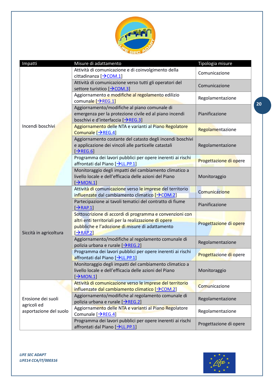

| Impatti                           | Misure di adattamento                                                                                                                                                                              | Tipologia misure       |
|-----------------------------------|----------------------------------------------------------------------------------------------------------------------------------------------------------------------------------------------------|------------------------|
|                                   | Attività di comunicazione e di coinvolgimento della<br>cittadinanza $[\rightarrow$ COM.1]                                                                                                          | Comunicazione          |
|                                   | Attività di comunicazione verso tutti gli operatori del<br>settore turistico [→COM.3]                                                                                                              | Comunicazione          |
|                                   | Aggiornamento e modifiche al regolamento edilizio<br>comunale $\rightarrow$ REG.1]                                                                                                                 | Regolamentazione       |
|                                   | Aggiornamento/modifiche al piano comunale di<br>emergenza per la protezione civile ed al piano incendi<br>boschivi e d'interfaccia [→REG.3]                                                        | Pianificazione         |
| Incendi boschivi                  | Aggiornamento delle NTA e varianti al Piano Regolatore<br>Comunale [→REG.4]                                                                                                                        | Regolamentazione       |
|                                   | Aggiornamento costante del catasto degli incendi boschivi<br>e applicazione dei vincoli alle particelle catastali<br>$[\rightarrow$ REG.6]                                                         | Regolamentazione       |
|                                   | Programma dei lavori pubblici per opere inerenti ai rischi<br>affrontati dal Piano [→LL.PP.1]                                                                                                      | Progettazione di opere |
|                                   | Monitoraggio degli impatti del cambiamento climatico a<br>livello locale e dell'efficacia delle azioni del Piano<br>$\rightarrow$ MON.1]                                                           | Monitoraggio           |
|                                   | Attività di comunicazione verso le imprese del territorio<br>influenzate dal cambiamento climatico [> COM.2]                                                                                       | Comunicazione          |
|                                   | Partecipazione ai tavoli tematici del contratto di fiume<br>$\rightarrow$ RAP.1]                                                                                                                   | Pianificazione         |
| Siccità in agricoltura            | Sottoscrizione di accordi di programma e convenzioni con<br>altri enti territoriali per la realizzazione di opere<br>pubbliche e l'adozione di misure di adattamento<br>$\left[\rightarrow$ RAP.2] | Progettazione di opere |
|                                   | Aggiornamento/modifiche al regolamento comunale di<br>polizia urbana e rurale [→REG.2]                                                                                                             | Regolamentazione       |
|                                   | Programma dei lavori pubblici per opere inerenti ai rischi<br>affrontati dal Piano [→LL.PP.1]                                                                                                      | Progettazione di opere |
|                                   | Monitoraggio degli impatti del cambiamento climatico a<br>livello locale e dell'efficacia delle azioni del Piano<br>$\rightarrow$ MON.1                                                            | Monitoraggio           |
|                                   | Attività di comunicazione verso le imprese del territorio<br>influenzate dal cambiamento climatico [> COM.2]                                                                                       | Comunicazione          |
| Erosione dei suoli<br>agricoli ed | Aggiornamento/modifiche al regolamento comunale di<br>polizia urbana e rurale [→REG.2]                                                                                                             | Regolamentazione       |
| asportazione del suolo            | Aggiornamento delle NTA e varianti al Piano Regolatore<br>Comunale $[\rightarrow$ REG.4]                                                                                                           | Regolamentazione       |
|                                   | Programma dei lavori pubblici per opere inerenti ai rischi<br>affrontati dal Piano [→LL.PP.1]                                                                                                      | Progettazione di opere |

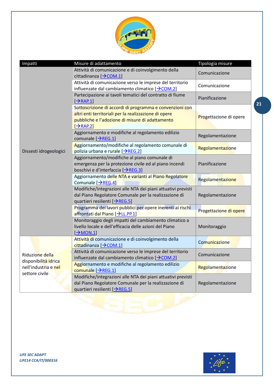

| Impatti                                                        | Misure di adattamento                                                                                                                                                                         | Tipologia misure       |
|----------------------------------------------------------------|-----------------------------------------------------------------------------------------------------------------------------------------------------------------------------------------------|------------------------|
|                                                                | Attività di comunicazione e di coinvolgimento della<br>cittadinanza [→ COM.1]                                                                                                                 | Comunicazione          |
|                                                                | Attività di comunicazione verso le imprese del territorio<br>influenzate dal cambiamento climatico $[\rightarrow$ COM.2]                                                                      | Comunicazione          |
|                                                                | Partecipazione ai tavoli tematici del contratto di fiume<br>$[\rightarrow$ RAP.1]                                                                                                             | Pianificazione         |
|                                                                | Sottoscrizione di accordi di programma e convenzioni con<br>altri enti territoriali per la realizzazione di opere<br>pubbliche e l'adozione di misure di adattamento<br>$[\rightarrow$ RAP.2] | Progettazione di opere |
|                                                                | Aggiornamento e modifiche al regolamento edilizio<br>comunale $[\rightarrow$ REG.1]                                                                                                           | Regolamentazione       |
| Dissesti idrogeologici                                         | Aggiornamento/modifiche al regolamento comunale di<br>polizia urbana e rurale [→REG.2]                                                                                                        | Regolamentazione       |
|                                                                | Aggiornamento/modifiche al piano comunale di<br>emergenza per la protezione civile ed al piano incendi<br>boschivi e d'interfaccia [→REG.3]                                                   | Pianificazione         |
|                                                                | Aggiornamento delle NTA e varianti al Piano Regolatore<br>Comunale $[\rightarrow$ REG.4]                                                                                                      | Regolamentazione       |
|                                                                | Modifiche/integrazioni alle NTA dei piani attuativi previsti<br>dal Piano Regolatore Comunale per la realizzazione di<br>quartieri resilienti [→REG.5]                                        | Regolamentazione       |
|                                                                | Programma dei lavori pubblici per opere inerenti ai rischi<br>affrontati dal Piano [→LL.PP.1]                                                                                                 | Progettazione di opere |
|                                                                | Monitoraggio degli impatti del cambiamento climatico a<br>livello locale e dell'efficacia delle azioni del Piano<br>$\rightarrow$ MON.1                                                       | Monitoraggio           |
|                                                                | Attività di comunicazione e di coinvolgimento della<br>cittadinanza [→COM.1]                                                                                                                  | Comunicazione          |
| Riduzione della                                                | Attività di comunicazione verso le imprese del territorio<br>influenzate dal cambiamento climatico $[\rightarrow$ COM.2]                                                                      | Comunicazione          |
| disponibilità idrica<br>nell'industria e nel<br>settore civile | Aggiornamento e modifiche al regolamento edilizio<br>comunale $[\rightarrow$ REG.1]                                                                                                           | Regolamentazione       |
|                                                                | Modifiche/integrazioni alle NTA dei piani attuativi previsti<br>dal Piano Regolatore Comunale per la realizzazione di<br>quartieri resilienti [→REG.5]                                        | Regolamentazione       |
|                                                                |                                                                                                                                                                                               |                        |

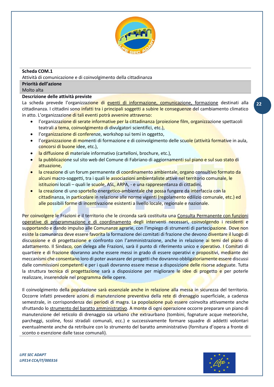

## <span id="page-21-0"></span>**Scheda COM.1**

Attività di comunicazione e di coinvolgimento della cittadinanza

## **Priorità dell'azione**

Molto alta

## **Descrizione delle attività previste**

La scheda prevede l'organizzazione di eventi di informazione, comunicazione, formazione destinati alla cittadinanza. I cittadini sono infatti tra i principali soggetti a subire le conseguenze del cambiamento climatico in atto. L'organizzazione di tali eventi potrà avvenire attraverso:

- l'organizzazione di serate informative per la cittadinanza (proiezione film, organizzazione spettacoli teatrali a tema, coinvolgimento di divulgatori scientifici, etc.),
- l'organizzazione di conferenze, workshop sui temi in oggetto,
- l'organizzazione di momenti di formazione e di coinvolgimento delle scuole (attività formative in aula, concorsi di buone idee, etc.),
- la diffusione di materiale informativo (cartelloni, brochure, etc.),
- la pubblicazione sul sito web del Comune di Fabriano di aggiornamenti sul piano e sul suo stato di attuazione,
- la creazione di un forum permanente di coordinamento ambientale, organo consultivo formato da alcuni macro-soggetti, tra i quali le associazioni ambientaliste attive nel territorio comunale, le istituzioni locali – quali le scuole, ASL, ARPA, - e una rappresentanza di cittadini,
- la creazione di uno sportello energetico-ambientale che possa fungere da interfaccia con la cittadinanza, in particolare in relazione alle norme vigenti (regolamento edilizio comunale, etc.) ed alle possibili forme di incentivazione esistenti a livello locale, regionale e nazionale.

Per coinvolgere le Frazioni e il territorio che le circonda sarà costituita una Consulta Permanente con funzioni operative di programmazione e di coordinamento degli interventi necessari, coinvolgendo i residenti e supportando e dando impulso alle Comunanze agrarie, con l'impiego di strumenti di partecipazione. Dove non esiste la comunanza deve essere favorita la formazione dei comitati di frazione che devono diventare il luogo di discussione e di progettazione e confronto con l'amministrazione, anche in relazione ai temi del piano di adattamento. Il Sindaco, con delega alle Frazioni, sarà il punto di riferimento unico e operativo. I Comitati di quartiere e di frazione dovranno anche essere messi in grado di essere operativi e propositivi, mediante dei meccanismi che consentano loro di poter avanzare dei progetti che dovranno obbligatoriamente essere discussi dalle commissioni competenti e per i quali dovranno essere messe a disposizione delle risorse adeguate. Tutta la struttura tecnica di progettazione sarà a disposizione per migliorare le idee di progetto e per poterle realizzare, inserendole nel programma delle opere.

Il coinvolgimento della popolazione sarà essenziale anche in relazione alla messa in sicurezza del territorio. Occorre infatti prevedere azioni di manutenzione preventiva della rete di drenaggio superficiale, a cadenza semestrale, in corrispondenza dei periodi di magra. La popolazione può essere coinvolta attivamente anche sfruttando lo strumento del baratto amministrativo. A monte di ogni operazione occorre preparare un piano di manutenzione del reticolo di drenaggio sia urbano che extraurbano (tombini, fognature acque meteoriche, parcheggi, scoline, fossi stradali comunali, ecc.) e successivamente formare squadre di addetti volontari eventualmente anche da retribuire con lo strumento del baratto amministrativo (fornitura d'opera a fronte di sconto o esenzione dalle tasse comunali).

*LIFE SEC ADAPT LIFE14 CCA/IT/000316*

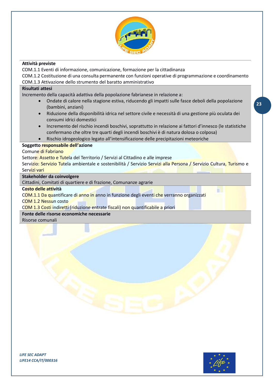

## **Attività previste**

COM.1.1 Eventi di informazione, comunicazione, formazione per la cittadinanza

COM.1.2 Costituzione di una consulta permanente con funzioni operative di programmazione e coordinamento COM.1.3 Attivazione dello strumento del baratto amministrativo

## **Risultati attesi**

Incremento della capacità adattiva della popolazione fabrianese in relazione a:

- Ondate di calore nella stagione estiva, riducendo gli impatti sulle fasce deboli della popolazione (bambini, anziani)
- Riduzione della disponibilità idrica nel settore civile e necessità di una gestione più oculata dei consumi idrici domestici
- Incremento del rischio incendi boschivi, soprattutto in relazione ai fattori d'innesco (le statistiche confermano che oltre tre quarti degli incendi boschivi è di natura dolosa o colposa)
- Rischio idrogeologico legato all'intensificazione delle precipitazioni meteoriche

## **Soggetto responsabile dell'azione**

## Comune di Fabriano

Settore: Assetto e Tutela del Territorio / Servizi al Cittadino e alle imprese

Servizio: Servizio Tutela ambientale e sostenibilità / Servizio Servizi alla Persona / Servizio Cultura, Turismo e Servizi vari

## **Stakeholder da coinvolgere**

Cittadini, Comitati di quartiere e di frazione, Comunanze agrarie

## **Costo delle attività**

COM.1.1 Da quantificare di anno in anno in funzione degli eventi che verranno organizzati

#### COM 1.2 Nessun costo

COM 1.3 Costi indiretti (riduzione entrate fiscali) non quantificabile a priori

## **Fonte delle risorse economiche necessarie**

Risorse comunali



m

*LIFE SEC ADAPT LIFE14 CCA/IT/000316*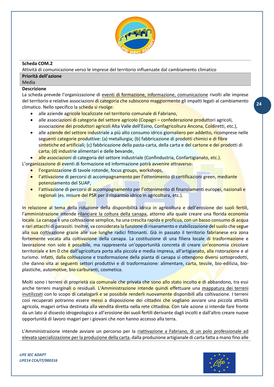

## <span id="page-23-0"></span>**Scheda COM.2**

Attività di comunicazione verso le imprese del territorio influenzate dal cambiamento climatico

## **Priorità dell'azione**

# Media

## **Descrizione**

La scheda prevede l'organizzazione di eventi di formazione, informazione, comunicazione rivolti alle imprese del territorio e relative associazioni di categoria che subiscono maggiormente gli impatti legati al cambiamento climatico. Nello specifico la scheda si rivolge:

- alle aziende agricole localizzate nel territorio comunale di Fabriano,
- alle associazioni di categoria del settore agricolo (Copagri confederazione produttori agricoli, associazione dei produttori agricoli Alta Valle dell'Esino, Confagricoltura Ancona, Coldiretti, etc.),
- alle aziende del settore industriale a più alto consumo idrico giornaliero per addetto, ricomprese nelle seguenti categorie produttive: (a) metallurgia; (b) fabbricazione di prodotti chimici e di fibre sintetiche ed artificiali; (c) fabbricazione della pasta-carta, della carta e del cartone e dei prodotti di carta; (d) industrie alimentari e delle bevande,
- alle associazioni di categoria del settore industriale (Confindustria, Confartigianato, etc.).

L'organizzazione di eventi di formazione ed informazione potrà avvenire attraverso:

- l'organizzazione di tavole rotonde, focus groups, workshops,
- l'attivazione di percorsi di accompagnamento per l'ottenimento di certificazioni green, mediante potenziamento del SUAP,
- l'attivazione di percorsi di accompagnamento per l'ottenimento di finanziamenti europei, nazionali e regionali (es. misure del PSR per il risparmio idrico in agricoltura, etc.).

In relazione al tema della riduzione della disponibilità idrica in agricoltura e dell'erosione dei suoli fertili, l'amministrazione intende rilanciare la coltura della canapa, attorno alla quale creare una florida economia locale. La canapa è una coltivazione semplice, ha una crescita rapida e proficua, con un basso consumo di acqua e rari attacchi di parassiti. Inoltre, va considerata la funzione di risanamento e stabilizzazione del suolo che segue alla sua coltivazione grazie alle sue lunghe radici fittonanti. Già in passato il territorio fabrianese era zona fortemente vocata alla coltivazione della canapa. La costituzione di una filiera locale di trasformazione e lavorazione non solo è possibile, ma rappresenta un'opportunità concreta di creare un'economia circolare territoriale e km 0 che dall'agricoltura porta alla piccola e media impresa, all'artigianato, alla ristorazione e al turismo. Infatti, dalla coltivazione e trasformazione della pianta di canapa si ottengono diversi sottoprodotti, che danno vita ai seguenti settori produttivi e di trasformazione: alimentare, carta, tessile, bio-edilizia, bioplastiche, automotive, bio-carburanti, cosmetica.

Molti sono i terreni di proprietà sia comunale che privata che sono allo stato incolto e di abbandono, tra essi anche terreni marginali o residuali. L'Amministrazione intende quindi effettuare una mappatura dei terreni inutilizzati con lo scopo di catalogarli e se possibile renderli nuovamente disponibili alla coltivazione. I terreni così recuperati potranno essere messi a disposizione dei cittadini che vogliano avviare una piccola attività agricola, magari ortiva destinata alla vendita diretta nella rete cittadina. Con tale azione si intende fare fronte da un lato al dissesto idrogeologico e all'erosione dei suoli fertili derivante dagli incolti e dall'altro creare nuove opportunità di lavoro magari per i giovani che non hanno accesso alla terra.

L'Amministrazione intende avviare un percorso per la riattivazione a Fabriano, di un polo professionale ad elevata specializzazione per la produzione della carta, dalla produzione artigianale di carta fatta a mano fino alle



**24**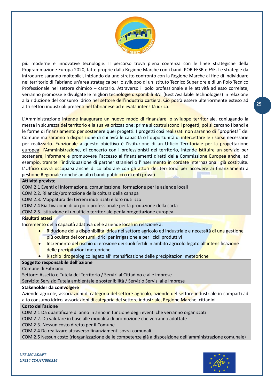

più moderne e innovative tecnologie. Il percorso trova piena coerenza con le linee strategiche della Programmazione Europa 2020, fatte proprie dalla Regione Marche con i bandi POR FESR e FSE. Le strategie da introdurre saranno molteplici, iniziando da uno stretto confronto con la Regione Marche al fine di individuare nel territorio di Fabriano un'area strategica per lo sviluppo di un Istituto Tecnico Superiore e di un Polo Tecnico Professionale nel settore chimico – cartario. Attraverso il polo professionale e le attività ad esso correlate, verranno promosse e divulgate le migliori tecnologie disponibili BAT (Best Available Technologies) in relazione alla riduzione del consumo idrico nel settore dell'industria cartiera. Ciò potrà essere ulteriormente esteso ad altri settori industriali presenti nel fabrianese ad elevata intensità idrica.

L'Amministrazione intende inaugurare un nuovo modo di finanziare lo sviluppo territoriale, coniugando la messa in sicurezza del territorio e la sua valorizzazione: prima si costruiscono i progetti, poi si cercano i bandi e le forme di finanziamento per sostenere quei progetti. I progetti così realizzati non saranno di "proprietà" del Comune ma saranno a disposizione di chi avrà le capacità o l'opportunità di intercettare le risorse necessarie per realizzarlo. Funzionale a questo obiettivo è l'istituzione di un Ufficio Territoriale per la progettazione europea: l'Amministrazione, di concerto con i professionisti del territorio, intende istituire un servizio per sostenere, informare e promuovere l'accesso ai finanziamenti diretti della Commissione Europea anche, ad esempio, tramite l'individuazione di partner stranieri o l'inserimento in cordate internazionali già costituite. L'Ufficio dovrà occuparsi anche di collaborare con gli attori del territorio per accedere ai finanziamenti a gestione Regionale nonché ad altri bandi pubblici o di enti privati.

## **Attività previste**

COM.2.1 Eventi di informazione, comunicazione, formazione per le aziende locali

COM 2.2. Rilancio/promozione della coltura della canapa

COM 2.3. Mappatura dei terreni inutilizzati e loro riutilizzo

COM 2.4 Riattivazione di un polo professionale per la produzione della carta

COM 2.5. Istituzione di un ufficio territoriale per la progettazione europea

## **Risultati attesi**

Incremento della capacità adattiva delle aziende locali in relazione a:

- Riduzione della disponibilità idrica nel settore agricolo ed industriale e necessità di una gestione più oculata dei consumi idrici per irrigazione e per i cicli produttivi
- Incremento del rischio di erosione dei suoli fertili in ambito agricolo legato all'intensificazione delle precipitazioni meteoriche
- Rischio idrogeologico legato all'intensificazione delle precipitazioni meteoriche

## **Soggetto responsabile dell'azione**

Comune di Fabriano

Settore: Assetto e Tutela del Territorio / Servizi al Cittadino e alle imprese

Servizio: Servizio Tutela ambientale e sostenibilità / Servizio Servizi alle Imprese

#### **Stakeholder da coinvolgere**

Aziende agricole, associazioni di categoria del settore agricolo, aziende del settore industriale in comparti ad alto consumo idrico, associazioni di categoria del settore industriale, Regione Marche, cittadini

## **Costo dell'azione**

COM.2.1 Da quantificare di anno in anno in funzione degli eventi che verranno organizzati

COM 2.2. Da valutare in base alle modalità di promozione che verranno adottate

COM 2.3. Nessun costo diretto per il Comune

COM 2.4 Da realizzare attraverso finanziamenti sovra-comunali

COM 2.5 Nessun costo (riorganizzazione delle competenze già a disposizione dell'amministrazione comunale)

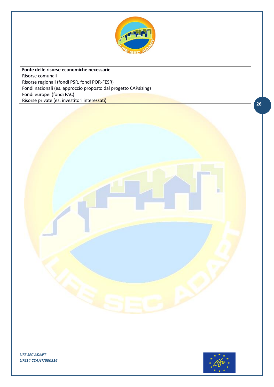

**Fonte delle risorse economiche necessarie** Risorse comunali Risorse regionali (fondi PSR, fondi POR-FESR) Fondi nazionali (es. approccio proposto dal progetto CAPsizing) Fondi europei (fondi PAC) Risorse private (es. investitori interessati)

*LIFE SEC ADAPT LIFE14 CCA/IT/000316*

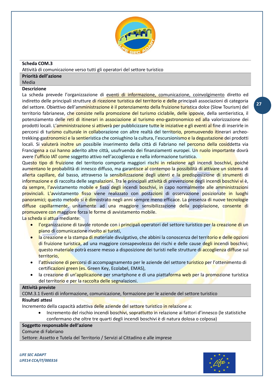

## <span id="page-26-0"></span>**Scheda COM.3**

Attività di comunicazione verso tutti gli operatori del settore turistico

## **Priorità dell'azione**

Media

## **Descrizione**

La scheda prevede l'organizzazione di eventi di informazione, comunicazione, coinvolgimento diretto ed indiretto delle principali strutture di ricezione turistica del territorio e delle principali associazioni di categoria del settore. Obiettivo dell'amministrazione è il potenziamento della fruizione turistica dolce (Slow Tourism) del territorio fabrianese, che consiste nella promozione del turismo ciclabile, delle ippovie, della sentieristica, il potenziamento delle reti di itinerari in associazione al turismo eno-gastronomico ed alla valorizzazione dei prodotti locali. L'amministrazione si attiverà per pubblicizzare tutte le iniziative e gli eventi al fine di inserirle in percorsi di turismo culturale in collaborazione con altre realtà del territorio, promuovendo itinerari archeotrekking-gastronomici e la sentieristica che coniughino la cultura, l'escursionismo e la degustazione dei prodotti locali. Si valuterà inoltre un possibile inserimento della città di Fabriano nel percorso della cosiddetta via Francigena a cui hanno aderito altre città, usufruendo dei finanziamenti europei. Un ruolo importante dovrà avere l'ufficio IAT come soggetto attivo nell'accoglienza e nella informazione turistica.

Questo tipo di fruizione del territorio comporta maggiori rischi in relazione agli incendi boschivi, poiché aumentano le probabilità di innesco diffuso, ma garantisce al contempo la possibilità di attivare un sistema di allerta capillare, dal basso, attraverso la sensibilizzazione degli utenti e la predisposizione di strumenti di informazione e di raccolta delle segnalazioni. Tra le principali attività di prevenzione degli incendi boschivi vi è, da sempre, l'avvistamento mobile e fisso degli incendi boschivi, in capo normalmente alle amministrazioni provinciali. L'avvistamento fisso viene realizzato con postazioni di osservazione posizionate in luoghi panoramici; questo metodo si è dimostrato negli anni sempre meno efficace. La presenza di nuove tecnologie diffuse capillarmente, unitamente ad una maggiore sensibilizzazione della popolazione, consente di promuovere con maggiore forza le forme di avvistamento mobile.

La scheda si attua mediante:

- l'organizzazione di tavole rotonde con i principali operatori del settore turistico per la creazione di un piano di comunicazione rivolto ai turisti,
- la creazione e la stampa di materiale divulgativo, che abbini la conoscenza del territorio e delle opzioni di fruizione turistica, ad una maggiore consapevolezza dei rischi e delle cause degli incendi boschivi; questo materiale potrà essere messo a disposizione dei turisti nelle strutture di accoglienza diffuse sul territorio,
- l'attivazione di percorsi di accompagnamento per le aziende del settore turistico per l'ottenimento di certificazioni green (es. Green Key, Ecolabel, EMAS),
- la creazione di un'applicazione per smartphone e di una piattaforma web per la promozione turistica del territorio e per la raccolta delle segnalazioni.

## **Attività previste**

COM.3.1 Eventi di informazione, comunicazione, formazione per le aziende del settore turistico

## **Risultati attesi**

Incremento della capacità adattiva delle aziende del settore turistico in relazione a:

• Incremento del rischio incendi boschivi, soprattutto in relazione ai fattori d'innesco (le statistiche confermano che oltre tre quarti degli incendi boschivi è di natura dolosa o colposa)

## **Soggetto responsabile dell'azione**

## Comune di Fabriano

Settore: Assetto e Tutela del Territorio / Servizi al Cittadino e alle imprese

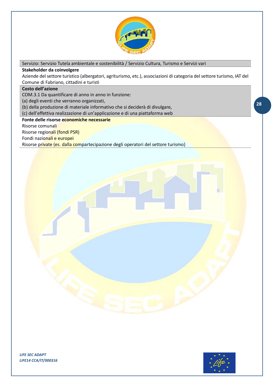

Servizio: Servizio Tutela ambientale e sostenibilità / Servizio Cultura, Turismo e Servizi vari

## **Stakeholder da coinvolgere**

Aziende del settore turistico (albergatori, agriturismo, etc.), associazioni di categoria del settore turismo, IAT del Comune di Fabriano, cittadini e turisti

## **Costo dell'azione**

COM.3.1 Da quantificare di anno in anno in funzione:

(a) degli eventi che verranno organizzati,

(b) della produzione di materiale informativo che si deciderà di divulgare,

(c) dell'effettiva realizzazione di un'applicazione e di una piattaforma web

## **Fonte delle risorse economiche necessarie**

Risorse comunali

Risorse regionali (fondi PSR)

Fondi nazionali e europei

Risorse private (es. dalla compartecipazione degli operatori del settore turismo)

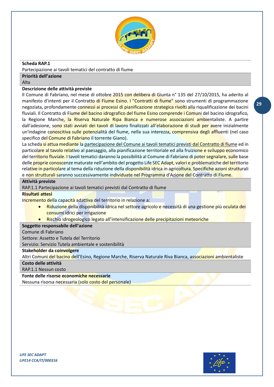

## <span id="page-28-0"></span>**Scheda RAP.1**

Partecipazione ai tavoli tematici del contratto di fiume

**Priorità dell'azione**

Alta

## **Descrizione delle attività previste**

Il Comune di Fabriano, nel mese di ottobre 2015 con delibera di Giunta n° 135 del 27/10/2015, ha aderito al manifesto d'intenti per il Contratto di Fiume Esino. I "Contratti di fiume" sono strumenti di programmazione negoziata, profondamente connessi ai processi di pianificazione strategica rivolti alla riqualificazione dei bacini fluviali. Il Contratto di Fiume del bacino idrografico del fiume Esino comprende i Comuni del bacino idrografico, la Regione Marche, la Riserva Naturale Ripa Bianca e numerose associazioni ambientaliste. A partire dall'adesione, sono stati avviati dei tavoli di lavoro finalizzati all'elaborazione di studi per avere inizialmente un'indagine conoscitiva sulle potenzialità del fiume, nella sua interezza, comprensiva degli affluenti (nel caso specifico del Comune di Fabriano il torrente Giano).

La scheda si attua mediante la partecipazione del Comune ai tavoli tematici previsti dal Contratto di fiume ed in particolare al tavolo relativo al paesaggio, alla pianificazione territoriale ed alla fruizione e sviluppo economico del territorio fluviale. I tavoli tematici daranno la possibilità al Comune di Fabriano di poter segnalare, sulle base delle proprie conoscenze maturate nell'ambito del progetto Life SEC Adapt, valori e problematiche del territorio relative in particolare al tema della riduzione della disponibilità idrica in agricoltura. Specifiche azioni strutturali e non strutturali saranno successivamente individuate nel Programma d'Azione del Contratto di Fiume.

## **Attività previste**

RAP.1.1 Partecipazione ai tavoli tematici previsti dal Contratto di fiume

## **Risultati attesi**

Incremento della capacità adattiva del territorio in relazione a:

- Riduzione della disponibilità idrica nel settore agricolo e necessità di una gestione più oculata dei consumi idrici per irrigazione
- Rischio idrogeologico legato all'intensificazione delle precipitazioni meteoriche

## **Soggetto responsabile dell'azione**

## Comune di Fabriano

Settore: Assetto e Tutela del Territorio

Servizio: Servizio Tutela ambientale e sostenibilità

## **Stakeholder da coinvolgere**

Altri Comuni del bacino dell'Esino, Regione Marche, Riserva Naturale Riva Bianca, associazioni ambientaliste

## **Costo delle attività**

RAP.1.1 Nessun costo

## **Fonte delle risorse economiche necessarie**

Nessuna risorsa necessaria (solo costo del personale)



**29**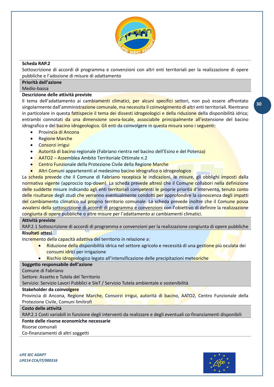

## <span id="page-29-0"></span>**Scheda RAP.2**

Sottoscrizione di accordi di programma e convenzioni con altri enti territoriali per la realizzazione di opere pubbliche e l'adozione di misure di adattamento

## **Priorità dell'azione**

Medio-bassa

## **Descrizione delle attività previste**

Il tema dell'adattamento ai cambiamenti climatici, per alcuni specifici settori, non può essere affrontato singolarmente dall'amministrazione comunale, ma necessita il coinvolgimento di altri enti territoriali. Rientrano in particolare in questa fattispecie il tema dei dissesti idrogeologici e della riduzione della disponibilità idrica; entrambi connotati da una dimensione sovra-locale, associabile principalmente all'estensione del bacino idrografico e del bacino idrogeologico. Gli enti da coinvolgere in questa misura sono i seguenti:

- Provincia di Ancona
- Regione Marche
- Consorzi irrigui
- Autorità di bacino regionale (Fabriano rientra nel bacino dell'Esino e del Potenza)
- AATO2 Assemblea Ambito Territoriale Ottimale n.2
- Centro Funzionale della Protezione Civile della Regione Marche
- Altri Comuni appartenenti al medesimo bacino idrografico o idrogeologico

La scheda prevede che il Comune di Fabriano recepisca le indicazioni, le misure, gli obblighi imposti dalla normativa vigente (approccio top-down). La scheda prevede altresì che il Comune collabori nella definizione delle suddette misure indicando agli enti territoriali competenti le proprie priorità d'intervento, tenuto conto delle risultanze degli studi che verranno eventualmente condotti per approfondire la conoscenza degli impatti del cambiamento climatico sul proprio territorio comunale. La scheda prevede inoltre che il Comune possa avvalersi della sottoscrizione di accordi di programma e convenzioni con l'obiettivo di definire la realizzazione congiunta di opere pubbliche o altre misure per l'adattamento ai cambiamenti climatici.

## **Attività previste**

RAP.2.1 Sottoscrizione di accordi di programma e convenzioni per la realizzazione congiunta di opere pubbliche **Risultati attesi**

Incremento della capacità adattiva del territorio in relazione a:

- Riduzione della disponibilità idrica nel settore agricolo e necessità di una gestione più oculata dei consumi idrici per irrigazione
	- Rischio idrogeologico legato all'intensificazione delle precipitazioni meteoriche

## **Soggetto responsabile dell'azione**

## Comune di Fabriano

Settore: Assetto e Tutela del Territorio

Servizio: Servizio Lavori Pubblici e SIeT / Servizio Tutela ambientale e sostenibilità

## **Stakeholder da coinvolgere**

Provincia di Ancona, Regione Marche, Consorzi irrigui, autorità di bacino, AATO2, Centro Funzionale della Protezione Civile, Comuni limitrofi

## **Costo delle attività**

RAP.2.1 Costi variabili in funzione degli interventi da realizzare e degli eventuali co-finanziamenti disponibili

## **Fonte delle risorse economiche necessarie**

Risorse comunali

Co-finanziamenti di altri soggetti

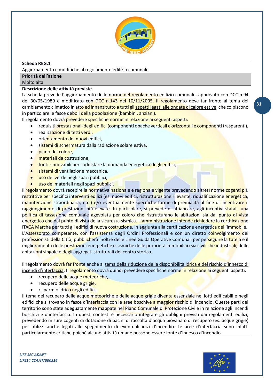

## <span id="page-30-0"></span>**Scheda REG.1**

Aggiornamento e modifiche al regolamento edilizio comunale

## **Priorità dell'azione**

## Molto alta

## **Descrizione delle attività previste**

La scheda prevede l'aggiornamento delle norme del regolamento edilizio comunale, approvato con DCC n.94 del 30/05/1989 e modificato con DCC n.143 del 10/11/2005. Il regolamento deve far fronte al tema del cambiamento climatico in atto ed innanzitutto a tutti gli aspetti legati alle ondate di calore estive, che colpiscono in particolare le fasce deboli della popolazione (bambini, anziani).

Il regolamento dovrà prevedere specifiche norme in relazione ai seguenti aspetti:

- requisiti prestazionali degli edifici (componenti opache verticali e orizzontali e componenti trasparenti),
- realizzazione di tetti verdi,
- orientamento dei nuovi edifici,
- sistemi di schermatura dalla radiazione solare estiva,
- piano del colore,
- materiali da costruzione,
- fonti rinnovabili per soddisfare la domanda energetica degli edifici,
- sistemi di ventilazione meccanica,
- uso del verde negli spazi pubblici,
- uso dei materiali negli spazi pubblici.

Il regolamento dovrà recepire la normativa nazionale e regionale vigente prevedendo altresì norme cogenti più restrittive per specifici interventi edilizi (es. nuovi edifici, ristrutturazione rilevante, riqualificazione energetica, manutenzione straordinaria, etc.) e/o eventualmente specifiche forme di premialità al fine di incentivare il raggiungimento di prestazioni più elevate. In particolare, si prevede di affiancare, agli incentivi statali, una politica di tassazione comunale agevolata per coloro che ristrutturano le abitazioni sia dal punto di vista energetico che dal punto di vista della sicurezza sismica. L'amministrazione intende richiedere la certificazione ITACA Marche per tutti gli edifici di nuova costruzione, in aggiunta alla certificazione energetica dell'immobile. L'Assessorato competente, con l'assistenza degli Ordini Professionali e con un diretto coinvolgimento dei professionisti della Città, pubblicherà inoltre delle Linee Guida Operative Comunali per perseguire la tutela e il miglioramento delle prestazioni energetiche e sismiche delle proprietà immobiliari sia civili che industriali, delle abitazioni singole e degli aggregati strutturali del centro storico.

Il regolamento dovrà far fronte anche al tema della riduzione della disponibilità idrica e del rischio d'innesco di incendi d'interfaccia. Il regolamento dovrà quindi prevedere specifiche norme in relazione ai seguenti aspetti:

- recupero delle acque meteoriche,
- recupero delle acque grigie,
- risparmio idrico negli edifici.

Il tema del recupero delle acque meteoriche e delle acque grigie diventa essenziale nei lotti edificabili e negli edifici che si trovano in fasce d'interfaccia con le aree boschive a maggior rischio di incendio. Queste parti del territorio sono state adeguatamente mappate nel Piano Comunale di Protezione Civile in relazione agli incendi boschivi e d'interfaccia. In questi contesti è necessario integrare gli obblighi previsti dai regolamenti edilizi, prevedendo misure cogenti di dotazione di bacini di raccolta d'acqua piovana o di recupero (es. acque grigie) per utilizzi anche legati allo spegnimento di eventuali inizi d'incendio. Le aree d'interfaccia sono infatti particolarmente critiche poiché alcune attività umane possono essere fonte d'innesco d'incendio.

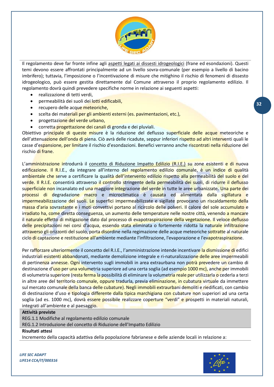

Il regolamento deve far fronte infine agli aspetti legati ai dissesti idrogeologici (frane ed esondazioni). Questi temi devono essere affrontati principalmente ad un livello sovra-comunale (per esempio a livello di bacino imbrifero); tuttavia, l'imposizione o l'incentivazione di misure che mitighino il rischio di fenomeni di dissesto idrogeologico, può essere gestita direttamente dal Comune attraverso il proprio regolamento edilizio. Il regolamento dovrà quindi prevedere specifiche norme in relazione ai seguenti aspetti:

- realizzazione di tetti verdi,
- permeabilità dei suoli dei lotti edificabili,
- recupero delle acque meteoriche,
- scelta dei materiali per gli ambienti esterni (es. pavimentazioni, etc.),
- progettazione del verde urbano,
- corretta progettazione dei canali di gronda e dei pluviali.

Obiettivo principale di queste misure è la riduzione del deflusso superficiale delle acque meteoriche e dell'attenuazione dell'onda di piena. Ciò avrà delle ricadute, seppur inferiori rispetto ad altri interventi quali le casse d'espansione, per limitare il rischio d'esondazioni. Benefici verranno anche riscontrati nella riduzione del rischio di frane.

L'amministrazione introdurrà il concetto di Riduzione Impatto Edilizio (R.I.E.) su zone esistenti e di nuova edificazione. Il R.I.E., da integrare all'interno del regolamento edilizio comunale, è un indice di qualità ambientale che serve a certificare la qualità dell'intervento edilizio rispetto alla permeabilità del suolo e del verde. Il R.I.E. consentirà attraverso il controllo stringente della permeabilità dei suoli, di ridurre il deflusso superficiale non incanalato ed una maggiore integrazione del verde in tutte le aree urbanizzate. Una parte dei processi di degradazione macro e microclimatica è causata ed alimentata dalla sigillatura e impermeabilizzazione dei suoli. Le superfici impermeabilizzate e sigillate provocano un riscaldamento della massa d'aria sovrastante e i moti convettivi portano al ricircolo delle polveri. Il calore del sole accumulato e irradiato ha, come diretta conseguenza, un aumento delle temperature nelle nostre città, venendo a mancare il naturale effetto di mitigazione dato dal processo di evapotraspirazione della vegetazione. Il veloce deflusso delle precipitazioni nei corsi d'acqua, essendo stata eliminata o fortemente ridotta la naturale infiltrazione attraverso gli orizzonti del suolo, porta disordine nella regimazione delle acque meteoriche sottratte al naturale ciclo di captazione e restituzione all'ambiente mediante l'infiltrazione, l'evaporazione e l'evapotraspirazione.

Per rafforzare ulteriormente il concetto del R.I.E., l'amministrazione intende incentivare la dismissione di edifici industriali esistenti abbandonati, mediante demolizione integrale e ri-naturalizzazione delle aree impermeabili di pertinenza annesse. Ogni intervento sugli immobili in area extraurbana non potrà prevedere un cambio di destinazione d'uso per una volumetria superiore ad una certa soglia (ad esempio 1000 mc), anche per immobili di volumetria superiore (resta ferma la possibilità di eliminare la volumetria reale per utilizzarla o cederla a terzi in altre aree del territorio comunale, oppure tradurla, previa eliminazione, in cubatura virtuale da immettere sul mercato comunale della banca delle cubature). Negli immobili extraurbani demoliti e riedificati, con cambio di destinazione d'uso e tipologia differente dalla tipica marchigiana con cubature non superiori ad una certa soglia (ad es. 1000 mc), dovrà essere possibile realizzare coperture "verdi" e prospetti in materiali naturali, integrati all'ambiente e al paesaggio.

### **Attività previste**

REG.1.1 Modifiche al regolamento edilizio comunale

REG.1.2 Introduzione del concetto di Riduzione dell'Impatto Edilizio

#### **Risultati attesi**

Incremento della capacità adattiva della popolazione fabrianese e delle aziende locali in relazione a:

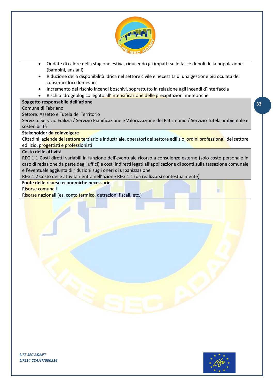

- Ondate di calore nella stagione estiva, riducendo gli impatti sulle fasce deboli della popolazione (bambini, anziani)
- Riduzione della disponibilità idrica nel settore civile e necessità di una gestione più oculata dei consumi idrici domestici
- Incremento del rischio incendi boschivi, soprattutto in relazione agli incendi d'interfaccia
- Rischio idrogeologico legato all'intensificazione delle precipitazioni meteoriche

## **Soggetto responsabile dell'azione**

## Comune di Fabriano

Settore: Assetto e Tutela del Territorio

Servizio: Servizio Edilizia / Servizio Pianificazione e Valorizzazione del Patrimonio / Servizio Tutela ambientale e sostenibilità

## **Stakeholder da coinvolgere**

Cittadini, aziende del settore terziario e industriale, operatori del settore edilizio, ordini professionali del settore edilizio, progettisti e professionisti

## **Costo delle attività**

REG.1.1 Costi diretti variabili in funzione dell'eventuale ricorso a consulenze esterne (solo costo personale in caso di redazione da parte degli uffici) e costi indiretti legati all'applicazione di sconti sulla tassazione comunale e l'eventuale aggiunta di riduzioni sugli oneri di urbanizzazione

REG.1.2 Costo delle attività rientra nell'azione REG.1.1 (da realizzarsi contestualmente)

## **Fonte delle risorse economiche necessarie**

Risorse comunali

Risorse nazionali (es. conto termico, detrazioni fiscali, etc.)



**33**

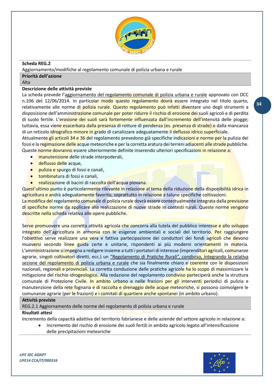

## <span id="page-33-0"></span>**Scheda REG.2**

Aggiornamento/modifiche al regolamento comunale di polizia urbana e rurale

## **Priorità dell'azione**

Alta

## **Descrizione delle attività previste**

La scheda prevede l'aggiornamento del regolamento comunale di polizia urbana e rurale approvato con DCC n.106 del 12/06/2014. In particolar modo questo regolamento dovrà essere integrato nel titolo quarto, relativamente alle norme di polizia rurale. Questo regolamento può infatti diventare uno degli strumenti a disposizione dell'amministrazione comunale per poter ridurre il rischio di erosione dei suoli agricoli e di perdita di suolo fertile. L'erosione dei suoli sarà fortemente influenzata dall'incremento dell'intensità delle piogge; tuttavia, essa viene esacerbata dalla presenza di rotture di pendenza (es. presenza di strade) o dalla mancanza di un reticolo idrografico minore in grado di canalizzare adeguatamente il deflusso idrico superficiale. Attualmente gli articoli 34 e 36 del regolamento prevedono già specifiche indicazioni e norme per la pulizia dei fossi e la regimazione delle acque meteoriche e per la corretta aratura dei terreni adiacenti alle strade pubbliche. Queste norme dovranno essere ulteriormente definite inserendo ulteriori specificazioni in relazione a:

- manutenzione delle strade interpoderali,
- deflusso delle acque,
- pulizia e spurgo di fossi e canali,
- tombinatura di fossi e canali,
- realizzazione di bacini di raccolta dell'acqua piovana.

Quest'ultimo punto è particolarmente rilevante in relazione al tema della riduzione della disponibilità idrica in agricoltura e andrà adeguatamente favorito, soprattutto in relazione a talune specifiche coltivazioni. La modifica del regolamento comunale di polizia rurale dovrà essere contestualmente integrata dalla previsione

di specifiche norme da applicare alla realizzazione di nuove strade in contesti rurali. Queste norme vengono descritte nella scheda relativa alle opere pubbliche.

Serve promuovere una corretta attività agricola che concorra alla tutela del pubblico interesse e allo sviluppo integrato dell'agricoltura in armonia con le esigenze ambientali e sociali del territorio. Per raggiungere l'obiettivo serve realizzare una vera e fattiva partecipazione dei conduttori dei fondi agricoli che devono muoversi secondo linee guida certe e unitarie, rispondenti ai più moderni orientamenti in materia. L'amministrazione si impegna a redigere insieme a tutti i portatori di interesse (imprenditori agricoli, comunanze agrarie, singoli coltivatori diretti, ecc.) un "Regolamento di Pratiche Rurali", condiviso, integrando la relativa sezione del regolamento di polizia urbana e rurale che sia finalmente chiaro e coerente con le disposizioni nazionali, regionali e provinciali. La corretta conduzione delle pratiche agricole ha lo scopo di massimizzare la mitigazione del rischio idrogeologico. Alla redazione del regolamento condiviso parteciperà anche la struttura comunale di Protezione Civile. In ambito urbano e nelle frazioni per gli interventi periodici di pulizia e manutenzione della rete fognaria e di raccolta e drenaggio delle acque meteoriche, si possono coinvolgere le comunanze agrarie (per le frazioni) e i comitati di quartiere anche spontanei (in ambito urbano).

## **Attività previste**

REG.2.1 Aggiornamento delle norme del regolamento di polizia urbana e rurale

## **Risultati attesi**

Incremento della capacità adattiva del territorio fabrianese e delle aziende del settore agricolo in relazione a:

• Incremento del rischio di erosione dei suoli fertili in ambito agricolo legato all'intensificazione delle precipitazioni meteoriche

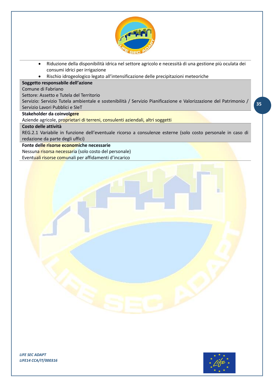

- Riduzione della disponibilità idrica nel settore agricolo e necessità di una gestione più oculata dei consumi idrici per irrigazione
- Rischio idrogeologico legato all'intensificazione delle precipitazioni meteoriche

## **Soggetto responsabile dell'azione**

Comune di Fabriano

Settore: Assetto e Tutela del Territorio

Servizio: Servizio Tutela ambientale e sostenibilità / Servizio Pianificazione e Valorizzazione del Patrimonio / Servizio Lavori Pubblici e SIeT

## **Stakeholder da coinvolgere**

Aziende agricole, proprietari di terreni, consulenti aziendali, altri soggetti

#### **Costo delle attività**

REG.2.1 Variabile in funzione dell'eventuale ricorso a consulenze esterne (solo costo personale in caso di redazione da parte degli uffici)

## **Fonte delle risorse economiche necessarie**

Nessuna risorsa necessaria (solo costo del personale) Eventuali risorse comunali per affidamenti d'incarico



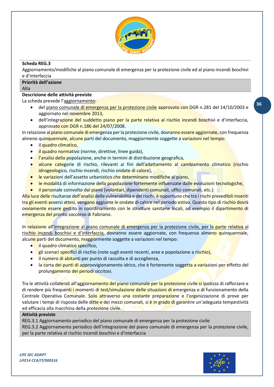

## <span id="page-35-0"></span>**Scheda REG.3**

Aggiornamento/modifiche al piano comunale di emergenza per la protezione civile ed al piano incendi boschivi e d'interfaccia

## **Priorità dell'azione**

Alta

## **Descrizione delle attività previste**

La scheda prevede l'aggiornamento:

- del piano comunale di emergenza per la protezione civile approvato con DGR n.281 del 14/10/2003 e aggiornato nel novembre 2013,
- dell'integrazione del suddetto piano per la parte relativa al rischio incendi boschivi e d'interfaccia, approvato con DGR n.186 del 24/07/2008.

In relazione al piano comunale di emergenza per la protezione civile, dovranno essere aggiornate, con frequenza almeno quinquennale, alcune parti del documento, maggiormente soggette a variazioni nel tempo:

- il quadro climatico,
- il quadro normativo (norme, direttive, linee guida),
- l'analisi della popolazione, anche in termini di distribuzione geografica,
- alcune categorie di rischio, rilevanti ai fini dell'adattamento al cambiamento climatico (rischio idrogeologico, rischio incendi, rischio ondate di calore),
- le variazioni dell'assetto urbanistico che determinano modifiche al piano,
- le modalità di informazione della popolazione fortemente influenzate dalle evoluzioni tecnologiche,
- il personale coinvolto dal piano (volontari, dipendenti comunali, uffici comunali, etc.).

Alla luce delle risultanze dell'analisi delle vulnerabilità e dei rischi, è opportuno che tra i rischi prevedibili inseriti tra gli eventi avversi attesi, vengano aggiunte le ondate di calore nel periodo estivo. Questo tipo di rischio dovrà ovviamente essere gestito in coordinamento con le strutture sanitarie locali, ad esempio il dipartimento di emergenza del pronto soccorso di Fabriano.

In relazione all'integrazione al piano comunale di emergenza per la protezione civile, per la parte relativa al rischio incendi boschivi e d'interfaccia, dovranno essere aggiornate, con frequenza almeno quinquennale, alcune parti del documento, maggiormente soggette a variazioni nel tempo:

- il quadro climatico specifico,
- gli scenari specifici di rischio (note sugli eventi recenti, aree e popolazione a rischio),
- il numero di abitanti per punto di raccolta e di accoglienza,
- la carta dei punti di approvvigionamento idrico, che è fortemente soggetta a variazioni per effetto del prolungamento dei periodi siccitosi.

Tra le attività collaterali all'aggiornamento del piano comunale per la protezione civile si ipotizza di rafforzare e di rendere più frequenti i momenti di test/simulazione delle situazioni di emergenza e di funzionamento della Centrale Operativa Comunale. Solo attraverso una costante preparazione e l'organizzazione di prove per valutare i tempi di risposta delle ditte e dei mezzi comunali, si è in grado di garantire un'adeguata tempestività ed efficacia alla macchina della protezione civile.

## **Attività previste**

REG.3.1 Aggiornamento periodico del piano comunale di emergenza per la protezione civile REG.3.2 Aggiornamento periodico dell'integrazione del piano comunale di emergenza per la protezione civile, per la parte relativa al rischio incendi boschivi e d'interfaccia

*LIFE SEC ADAPT LIFE14 CCA/IT/000316*

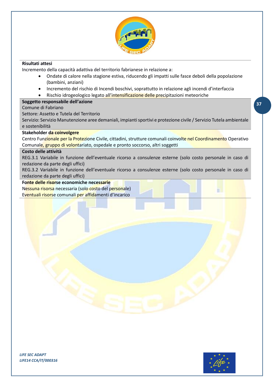

## **Risultati attesi**

Incremento della capacità adattiva del territorio fabrianese in relazione a:

- Ondate di calore nella stagione estiva, riducendo gli impatti sulle fasce deboli della popolazione (bambini, anziani)
- Incremento del rischio di Incendi boschivi, soprattutto in relazione agli incendi d'interfaccia
- Rischio idrogeologico legato all'intensificazione delle precipitazioni meteoriche

## **Soggetto responsabile dell'azione**

Comune di Fabriano

Settore: Assetto e Tutela del Territorio

Servizio: Servizio Manutenzione aree demaniali, impianti sportivi e protezione civile / Servizio Tutela ambientale e sostenibilità

## **Stakeholder da coinvolgere**

Centro Funzionale per la Protezione Civile, cittadini, strutture comunali coinvolte nel Coordinamento Operativo Comunale, gruppo di volontariato, ospedale e pronto soccorso, altri soggetti

## **Costo delle attività**

REG.3.1 Variabile in funzione dell'eventuale ricorso a consulenze esterne (solo costo personale in caso di redazione da parte degli uffici)

REG.3.2 Variabile in funzione dell'eventuale ricorso a consulenze esterne (solo costo personale in caso di redazione da parte degli uffici)

#### **Fonte delle risorse economiche necessarie**

Nessuna risorsa necessaria (solo costo del personale) Eventuali risorse comunali per affidamenti d'incarico

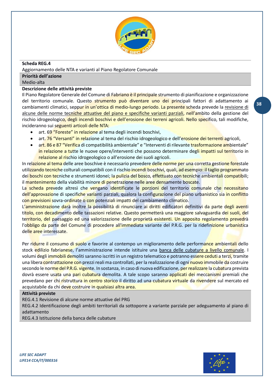

## <span id="page-37-0"></span>**Scheda REG.4**

Aggiornamento delle NTA e varianti al Piano Regolatore Comunale

## **Priorità dell'azione**

Medio-alta

## **Descrizione delle attività previste**

Il Piano Regolatore Generale del Comune di Fabriano è il principale strumento di pianificazione e organizzazione del territorio comunale. Questo strumento può diventare uno dei principali fattori di adattamento ai cambiamenti climatici, seppur in un'ottica di medio-lungo periodo. La presente scheda prevede la revisione di alcune delle norme tecniche attuative del piano e specifiche varianti parziali, nell'ambito della gestione del rischio idrogeologico, degli incendi boschivi e dell'erosione dei terreni agricoli. Nello specifico, tali modifiche, incideranno sui seguenti articoli delle NTA:

- art. 69 "Foreste" in relazione al tema degli incendi boschivi,
- art. 76 "Versanti" in relazione al tema del rischio idrogeologico e dell'erosione dei terrenti agricoli,
- art. 86 e 87 "Verifica di compatibilità ambientale" e "Interventi di rilevante trasformazione ambientale" in relazione a tutte le nuove opere/interventi che possono determinare degli impatti sul territorio in relazione al rischio idrogeologico o all'erosione dei suoli agricoli.

In relazione al tema delle aree boschive è necessario prevedere delle norme per una corretta gestione forestale utilizzando tecniche colturali compatibili con il rischio incendi boschivi, quali, ad esempio: il taglio programmato dei boschi con tecniche e strumenti idonei; la pulizia del bosco, effettuato con tecniche ambientali compatibili; il mantenimento della viabilità minore di penetrazione nelle aree densamente boscate.

La scheda prevede altresì che vengano identificate le porzioni del territorio comunale che necessitano dell'approvazione di specifiche varianti parziali, qualora la configurazione del piano urbanistico sia in conflitto con previsioni sovra-ordinate o con potenziali impatti del cambiamento climatico.

L'amministrazione darà inoltre la possibilità di rinunciare ai diritti edificatori definitivi da parte degli aventi titolo, con decadimento delle tassazioni relative. Questo permetterà una maggiore salvaguardia dei suoli, del territorio, del paesaggio ed una valorizzazione delle proprietà esistenti. Un apposito regolamento prevedrà l'obbligo da parte del Comune di procedere all'immediata variante del P.R.G. per la ridefinizione urbanistica delle aree interessate.

Per ridurre il consumo di suolo e favorire al contempo un miglioramento delle performance ambientali dello stock edilizio fabrianese, l'amministrazione intende istituire una banca delle cubature a livello comunale. I volumi degli immobili demoliti saranno iscritti in un registro telematico e potranno essere ceduti a terzi, tramite una libera contrattazione con prezzi reali ma controllati, per la realizzazione di ogni nuovo immobile da costruire secondo le norme del P.R.G. vigente. In sostanza, in caso di nuova edificazione, per realizzare la cubatura prevista dovrà essere usata una pari cubatura demolita. A tale scopo saranno applicati dei meccanismi premiali che prevedano per chi ristruttura in centro storico il diritto ad una cubatura virtuale da rivendere sul mercato ed acquistabile da chi deve costruire in qualsiasi altra area.

## **Attività previste**

REG.4.1 Revisione di alcune norme attuative del PRG

REG.4.2 Identificazione degli ambiti territoriali da sottoporre a variante parziale per adeguamento al piano di adattamento

REG.4.3 Istituzione della banca delle cubature



**38**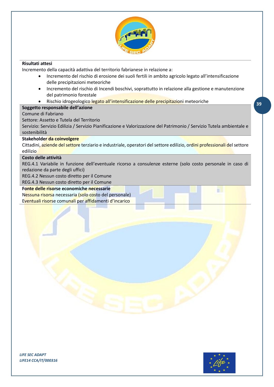

## **Risultati attesi**

Incremento della capacità adattiva del territorio fabrianese in relazione a:

- Incremento del rischio di erosione dei suoli fertili in ambito agricolo legato all'intensificazione delle precipitazioni meteoriche
- Incremento del rischio di Incendi boschivi, soprattutto in relazione alla gestione e manutenzione del patrimonio forestale
- Rischio idrogeologico legato all'intensificazione delle precipitazioni meteoriche

## **Soggetto responsabile dell'azione**

Comune di Fabriano

Settore: Assetto e Tutela del Territorio

Servizio: Servizio Edilizia / Servizio Pianificazione e Valorizzazione del Patrimonio / Servizio Tutela ambientale e sostenibilità

## **Stakeholder da coinvolgere**

Cittadini, aziende del settore terziario e industriale, operatori del settore edilizio, ordini professionali del settore edilizio

## **Costo delle attività**

REG.4.1 Variabile in funzione dell'eventuale ricorso a consulenze esterne (solo costo personale in caso di redazione da parte degli uffici)

REG.4.2 Nessun costo diretto per il Comune

REG.4.3 Nessun costo diretto per il Comune

## **Fonte delle risorse economiche necessarie**

Nessuna risorsa necessaria (solo costo del personale) Eventuali risorse comunali per affidamenti d'incarico



TI

**39**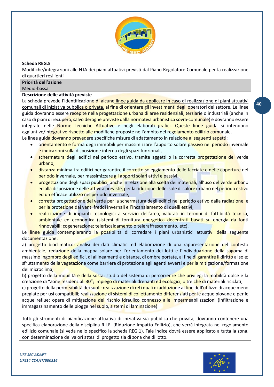

## <span id="page-39-0"></span>**Scheda REG.5**

Modifiche/integrazioni alle NTA dei piani attuativi previsti dal Piano Regolatore Comunale per la realizzazione di quartieri resilienti

### **Priorità dell'azione**

Medio-bassa

## **Descrizione delle attività previste**

La scheda prevede l'identificazione di alcune linee guida da applicare in caso di realizzazione di piani attuativi comunali di iniziativa pubblica o privata, al fine di orientare gli investimenti degli operatori del settore**.** Le linee guida dovranno essere recepite nella progettazione urbana di aree residenziali, terziarie o industriali (anche in caso di piani di recupero, salvo deroghe previste dalla normativa urbanistica sovra-comunale) e dovranno essere integrate nelle Norme Tecniche Attuative e negli elaborati grafici. Queste linee guida si intendono aggiuntive/integrative rispetto alle modifiche proposte nell'ambito del regolamento edilizio comunale.

Le linee guida dovranno prevedere specifiche misure di adattamento in relazione ai seguenti aspetti:

- orientamento e forma degli immobili per massimizzare l'apporto solare passivo nel periodo invernale e indicazioni sulla disposizione interna degli spazi funzionali,
- schermatura degli edifici nel periodo estivo, tramite aggetti o la corretta progettazione del verde urbano,
- distanza minima tra edifici per garantire il corretto soleggiamento delle facciate e delle coperture nel periodo invernale, per massimizzare gli apporti solari attivi e passivi,
- progettazione degli spazi pubblici, anche in relazione alla scelta dei materiali, all'uso del verde urbano ed alla disposizione delle attività previste, per la riduzione delle isole di calore urbano nel periodo estivo ed un efficace utilizzo nel periodo invernale,
- corretta progettazione del verde per la schermatura degli edifici nel periodo estivo dalla radiazione, e per la protezione dai venti freddi invernali e l'incanalamento di quelli estivi,
- realizzazione di impianti tecnologici a servizio dell'area, valutati in termini di fattibilità tecnica, ambientale ed economica (sistemi di fornitura energetica decentrati basati su energia da fonti rinnovabili; cogenerazione; teleriscaldamento o teleraffrescamento, etc).

Le linee guida contempleranno la possibilità di corredare i piani urbanistici attuativi della seguente documentazione:

a) progetto bioclimatico: analisi dei dati climatici ed elaborazione di una rappresentazione del contesto ambientale; redazione della mappa solare per l'orientamento dei lotti e l'individuazione della sagoma di massimo ingombro degli edifici, di allineamenti e distanze, di ombre portate, al fine di garantire il diritto al sole; sfruttamento della vegetazione come barriera di protezione agli agenti avversi e per la mitigazione/formazione del microclima;

b) progetto della mobilità e della sosta: studio del sistema di percorrenze che privilegi la mobilità dolce e la creazione di "Zone residenziali 30"; impiego di materiali drenanti ed ecologici, oltre che di materiali riciclati;

c) progetto della permeabilità dei suoli: realizzazione di reti duali di adduzione al fine dell'utilizzo di acque meno pregiate per usi compatibili; realizzazione di sistemi di collettamento differenziati per le acque piovane e per le acque reflue; opere di mitigazione del rischio idraulico connesso alle impermeabilizzazioni (infiltrazione e immagazzinamento delle piogge nel suolo, sistemi di laminazione).

Tutti gli strumenti di pianificazione attuativa di iniziativa sia pubblica che privata, dovranno contenere una specifica elaborazione della disciplina R.I.E. (Riduzione Impatto Edilizio), che verrà integrata nel regolamento edilizio comunale (si veda nello specifico la scheda REG.1). Tale indice dovrà essere applicato a tutta la zona, con determinazione dei valori attesi di progetto sia di zona che di lotto.

*LIFE SEC ADAPT LIFE14 CCA/IT/000316*

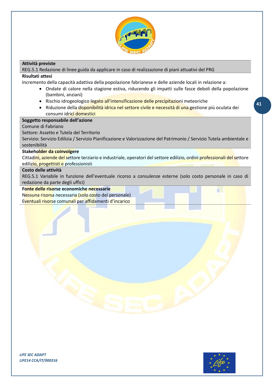

## **Attività previste**

REG.5.1 Redazione di linee guida da applicare in caso di realizzazione di piani attuativi del PRG

## **Risultati attesi**

Incremento della capacità adattiva della popolazione fabrianese e delle aziende locali in relazione a:

- Ondate di calore nella stagione estiva, riducendo gli impatti sulle fasce deboli della popolazione (bambini, anziani)
- Rischio idrogeologico legato all'intensificazione delle precipitazioni meteoriche
- Riduzione della disponibilità idrica nel settore civile e necessità di una gestione più oculata dei consumi idrici domestici

## **Soggetto responsabile dell'azione**

## Comune di Fabriano

Settore: Assetto e Tutela del Territorio

Servizio: Servizio Edilizia / Servizio Pianificazione e Valorizzazione del Patrimonio / Servizio Tutela ambientale e sostenibilità

#### **Stakeholder da coinvolgere**

Cittadini, aziende del settore terziario e industriale, operatori del settore edilizio, ordini professionali del settore edilizio, progettisti e professionisti

#### **Costo delle attività**

REG.5.1 Variabile in funzione dell'eventuale ricorso a consulenze esterne (solo costo personale in caso di redazione da parte degli uffici)

## **Fonte delle risorse economiche necessarie**

Nessuna risorsa necessaria (solo costo del personale) Eventuali risorse comunali per affidamenti d'incarico



m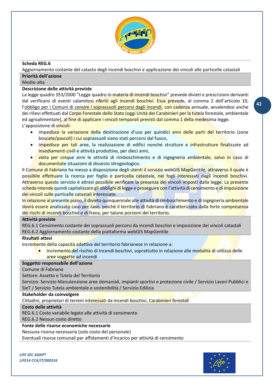

## <span id="page-41-0"></span>**Scheda REG.6**

Aggiornamento costante del catasto degli incendi boschivi e applicazione dei vincoli alle particelle catastali **Priorità dell'azione**

## Medio-alta

## **Descrizione delle attività previste**

La legge quadro 353/2000 "Legge quadro in materia di incendi boschivi" prevede divieti e prescrizioni derivanti dal verificarsi di eventi calamitosi riferiti agli incendi boschivi. Essa prevede, al comma 2 dell'articolo 10, l'obbligo per i Comuni di censire i soprassuoli percorsi dagli incendi, con cadenza annuale, avvalendosi anche dei rilievi effettuati dal Corpo Forestale dello Stato (oggi Unità dei Carabinieri per la tutela forestale, ambientale ed agroalimentare), al fine di applicare i vincoli temporali previsti dal comma 1 della medesima legge. L'apposizione di vincoli:

- impedisce la variazione della destinazione d'uso per quindici anni delle parti del territorio (zone boscate/pascoli) i cui soprassuoli siano stati percorsi dal fuoco,
- impedisce per tali aree, la realizzazione di edifici nonché strutture e infrastrutture finalizzate ad insediamenti civili e attività produttive, per dieci anni,
- vieta per cinque anni le attività di rimboschimento e di ingegneria ambientale, salvo in caso di documentate situazioni di dissesto idrogeologico.

Il Comune di Fabriano ha messo a disposizione degli utenti il servizio webGIS MapGentile, attraverso il quale è possibile effettuare la ricerca per foglio e particella catastale, nei fogli interessati dagli incendi boschivi. Attraverso questo servizio è altresì possibile verificare la presenza dei vincoli imposti dalla legge. La presente scheda intende quindi capitalizzare gli obblighi di legge e proseguire con l'attività di censimento e di imposizione dei vincoli sulle particelle catastali interessate.

In relazione al presente piano, il divieto quinquennale alle attività di rimboschimento e di ingegneria ambientale dovrà essere analizzato caso per caso, poiché il territorio di Fabriano è caratterizzato dalla forte compresenza dei rischi di incendi boschivi e di frana, per talune porzioni del territorio.

## **Attività previste**

REG.6.1 Censimento costante dei soprassuoli percorsi da incendi boschivi e imposizione dei vincoli catastali REG.6.2 Aggiornamento costante della piattaforma webGIS MapGentile

## **Risultati attesi**

Incremento della capacità adattiva del territorio fabrianese in relazione a:

Incremento del rischio di Incendi boschivi, soprattutto in relazione alle modalità di utilizzo delle aree soggette ad incendi

## **Soggetto responsabile dell'azione**

Comune di Fabriano

Settore: Assetto e Tutela del Territorio

Servizio: Servizio Manutenzione aree demaniali, impianti sportivi e protezione civile / Servizio Lavori Pubblici e SIeT / Servizio Tutela ambientale e sostenibilità / Servizio Edilizia

## **Stakeholder da coinvolgere**

Cittadini, proprietari di terreni interessati da incendi boschivi, Carabinieri forestali

## **Costo delle attività**

REG.6.1 Costo variabile legato alle attività di censimento

REG.6.2 Nessun costo diretto

**Fonte delle risorse economiche necessarie**

Nessuna risorsa necessaria (solo costo del personale)

Eventuali risorse comunali per affidamenti d'incarico per attività di censimento

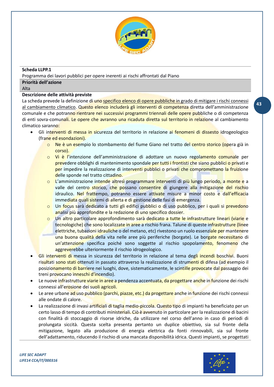

## <span id="page-42-0"></span>**Scheda LLPP.1**

Programma dei lavori pubblici per opere inerenti ai rischi affrontati dal Piano

## **Priorità dell'azione**

Alta

## **Descrizione delle attività previste**

La scheda prevede la definizione di uno specifico elenco di opere pubbliche in grado di mitigare i rischi connessi al cambiamento climatico. Questo elenco includerà gli interventi di competenza diretta dell'amministrazione comunale e che potranno rientrare nei successivi programmi triennali delle opere pubbliche o di competenza di enti sovra-comunali. Le opere che avranno una ricaduta diretta sul territorio in relazione al cambiamento climatico saranno:

- Gli interventi di messa in sicurezza del territorio in relazione ai fenomeni di dissesto idrogeologico (frane ed esondazioni).
	- o Ne è un esempio lo stombamento del fiume Giano nel tratto del centro storico (opera già in corso).
	- o Vi è l'intenzione dell'amministrazione di adottare un nuovo regolamento comunale per prevedere obblighi di mantenimento spondale per tutti i frontisti che siano pubblici o privati e per impedire la realizzazione di interventi pubblici o privati che compromettano la fruizione delle sponde nel tratto cittadino.
	- o L'amministrazione intende altresì programmare interventi di più lungo periodo, a monte e a valle del centro storico, che possano consentire di giungere alla mitigazione del rischio idraulico. Nel frattempo, potranno essere attivate misure a minor costo e dall'efficacia immediata quali sistemi di allerta e di gestione delle fasi di emergenza.
	- o Un focus sarà dedicato a tutti gli edifici pubblici o di uso pubblico, per i quali si prevedono analisi più approfondite e la redazione di uno specifico dossier.
	- o Un altro particolare approfondimento sarà dedicato a tutte le infrastrutture lineari (viarie e tecnologiche) che sono localizzate in aree a rischio frana. Talune di queste infrastrutture (linee elettriche, tubazioni idrauliche o del metano, etc) rivestono un ruolo essenziale per mantenere una buona qualità della vita nelle aree più periferiche (borgate). Le borgate necessitano di un'attenzione specifica poiché sono soggette al rischio spopolamento, fenomeno che aggreverebbe ulteriormente il rischio idrogeologico.
- Gli interventi di messa in sicurezza del territorio in relazione al tema degli incendi boschivi. Buoni risultati sono stati ottenuti in passato attraverso la realizzazione di strumenti di difesa (ad esempio il posizionamento di barriere nei luoghi, dove, sistematicamente, le scintille provocate dal passaggio dei treni provocano inneschi d'incendio).
- Le nuove infrastrutture viarie in aree a pendenza accentuata, da progettare anche in funzione dei rischi connessi all'erosione dei suoli agricoli.
- Le aree urbane ad uso pubblico (parchi, piazze, etc.) da progettare anche in funzione dei rischi connessi alle ondate di calore.
- La realizzazione di invasi artificiali di taglia medio-piccola. Questo tipo di impianti ha beneficiato per un certo lasso di tempo di contributi ministeriali. Ciò è avvenuto in particolare per la realizzazione di bacini con finalità di stoccaggio di risorse idriche, da utilizzare nel corso dell'anno in caso di periodi di prolungata siccità. Questa scelta presenta pertanto un duplice obiettivo, sia sul fronte della mitigazione, legato alla produzione di energia elettrica da fonti rinnovabili, sia sul fronte dell'adattamento, riducendo il rischio di una mancata disponibilità idrica. Questi impianti, se progettati

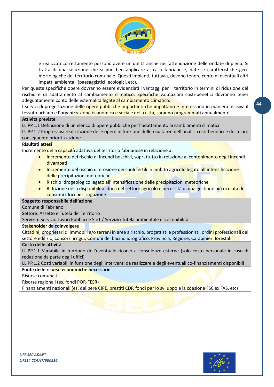

e realizzati correttamente possono avere un'utilità anche nell'attenuazione delle ondate di piena. Si tratta di una soluzione che si può ben applicare al caso fabrianese, date le caratteristiche geomorfologiche del territorio comunale. Questi impianti, tuttavia, devono tenere conto di eventuali altri impatti ambientali (paesaggistici, ecologici, etc).

Per queste specifiche opere dovranno essere evidenziati i vantaggi per il territorio in termini di riduzione del rischio e di adattamento al cambiamento climatico. Specifiche valutazioni costi-benefici dovranno tener adeguatamente conto delle esternalità legate al cambiamento climatico.

I servizi di progettazione delle opere pubbliche importanti che impattano e interessano in maniera incisiva il tessuto urbano e l'organizzazione economica e sociale della città, saranno programmati annualmente.

## **Attività previste**

LL.PP.1.1 Definizione di un elenco di opere pubbliche per l'adattamento ai cambiamenti climatici

LL.PP.1.2 Progressiva realizzazione delle opere in funzione delle risultanze dell'analisi costi-benefici e della loro conseguente prioritizzazione

## **Risultati attesi**

Incremento della capacità adattiva del territorio fabrianese in relazione a:

- Incremento del rischio di Incendi boschivi, soprattutto in relazione al contenimento degli incendi divampati
- Incremento del rischio di erosione dei suoli fertili in ambito agricolo legato all'intensificazione delle precipitazioni meteoriche
- Rischio idrogeologico legato all'intensificazione delle precipitazioni meteoriche
- Riduzione della disponibilità idrica nel settore agricolo e necessità di una gestione più oculata dei consumi idrici per irrigazione

#### **Soggetto responsabile dell'azione**

Comune di Fabriano

Settore: Assetto e Tutela del Territorio

Servizio: Servizio Lavori Pubblici e SIeT / Servizio Tutela ambientale e sostenibilità

#### **Stakeholder da coinvolgere**

Cittadini, proprietari di immobili e/o terreni in aree a rischio, progettisti e professionisti, ordini professionali del settore edilizio, consorzi irrigui, Comuni del bacino idrografico, Provincia, Regione, Carabinieri forestali

#### **Costo delle attività**

LL.PP.1.1 Variabile in funzione dell'eventuale ricorso a consulenze esterne (solo costo personale in caso di redazione da parte degli uffici)

LL.PP.1.2 Costi variabili in funzione degli interventi da realizzare e degli eventuali co-finanziamenti disponibili

## **Fonte delle risorse economiche necessarie**

Risorse comunali

Risorse regionali (es. fondi POR-FESR)

Finanziamenti nazionali (es. delibere CIPE, prestiti CDP, fondi per lo sviluppo e la coesione FSC ex FAS, etc)

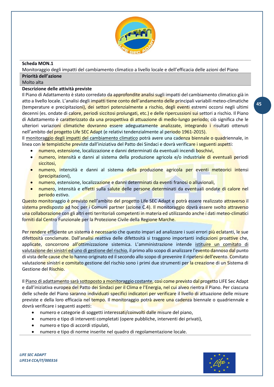

## <span id="page-44-0"></span>**Scheda MON.1**

Monitoraggio degli impatti del cambiamento climatico a livello locale e dell'efficacia delle azioni del Piano

#### **Priorità dell'azione** Molto alta

## **Descrizione delle attività previste**

Il Piano di Adattamento è stato corredato da approfondite analisi sugli impatti del cambiamento climatico già in atto a livello locale. L'analisi degli impatti tiene conto dell'andamento delle principali variabili meteo-climatiche (temperature e precipitazioni), dei settori potenzialmente a rischio, degli eventi estremi occorsi negli ultimi decenni (es. ondate di calore, periodi siccitosi prolungati, etc.) e delle ripercussioni sui settori a rischio. Il Piano di Adattamento è caratterizzato da una prospettiva di attuazione di medio-lungo periodo; ciò significa che le ulteriori variazioni climatiche dovranno essere adeguatamente analizzate, integrando i risultati ottenuti nell'ambito del *progetto Life SEC Adapt* (e relativi tendenzialmente al periodo 1961-2015).

Il monitoraggio degli impatti del cambiamento climatico potrà avere una cadenza biennale o quadriennale, in linea con le tempistiche previste dall'iniziativa del Patto dei Sindaci e dovrà verificare i seguenti aspetti:

- numero, estensione, localizzazione e danni determinati da eventuali incendi boschivi,
- numero, intensità e danni al sistema della produzione agricola e/o industriale di eventuali periodi siccitosi,
- numero, intensità e danni al sistema della produzione agricola per eventi meteorici intensi (precipitazioni),
- numero, estensione, localizzazione e danni determinati da eventi franosi o alluvionali,
- numero, intensità e effetti sulla salute delle persone determinati da eventuali ondate di calore nel periodo estivo.

Questo monitoraggio è previsto nell'ambito del progetto Life SEC Adapt e potrà essere realizzato attraverso il sistema predisposto ad hoc per i Comuni partner (azione C.4). Il monitoraggio dovrà essere svolto attraverso una collaborazione con gli altri enti territoriali competenti in materia ed utilizzando anche i dati meteo-climatici forniti dal Centro Funzionale per la Protezione Civile della Regione Marche.

Per rendere efficiente un sistema è necessario che questo impari ad analizzare i suoi errori più eclatanti, le sue difettosità conclamate. Dall'analisi reattiva delle difettosità si traggono importanti indicazioni proattive che, applicate, concorrono all'ottimizzazione sistemica. L'amministrazione intende istituire un comitato di valutazione dei sinistri ed uno di gestione del rischio, il primo allo scopo di analizzare l'evento dannoso dal punto di vista delle cause che lo hanno originato ed il secondo allo scopo di prevenire il ripetersi dell'evento. Comitato valutazione sinistri e comitato gestione del rischio sono i primi due strumenti per la creazione di un Sistema di Gestione del Rischio.

Il Piano di adattamento sarà sottoposto a monitoraggio costante, così come previsto dal progetto LIFE Sec Adapt e dall'iniziativa europea del Patto dei Sindaci per il Clima e l'Energia, nel cui alveo rientra il Piano. Per ciascuna delle schede del Piano saranno individuati specifici indicatori per verificare il livello di attuazione delle misure previste e della loro efficacia nel tempo. Il monitoraggio potrà avere una cadenza biennale o quadriennale e dovrà verificare i seguenti aspetti:

- numero e categorie di soggetti interessati/coinvolti dalle misure del piano,
- numero e tipo di interventi completati (opere pubbliche, interventi dei privati),
- numero e tipo di accordi stipulati,
- numero e tipo di norme inserite nel quadro di regolamentazione locale.

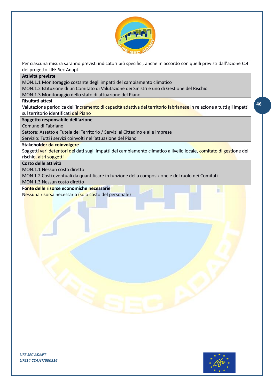

Per ciascuna misura saranno previsti indicatori più specifici, anche in accordo con quelli previsti dall'azione C.4 del progetto LIFE Sec Adapt.

### **Attività previste**

MON.1.1 Monitoraggio costante degli impatti del cambiamento climatico

MON.1.2 Istituzione di un Comitato di Valutazione dei Sinistri e uno di Gestione del Rischio

MON.1.3 Monitoraggio dello stato di attuazione del Piano

## **Risultati attesi**

Valutazione periodica dell'incremento di capacità adattiva del territorio fabrianese in relazione a tutti gli impatti sul territorio identificati dal Piano

**Soggetto responsabile dell'azione**

Comune di Fabriano

Settore: Assetto e Tutela del Territorio / Servizi al Cittadino e alle imprese

Servizio: Tutti i servizi coinvolti nell'attuazione del Piano

## **Stakeholder da coinvolgere**

Soggetti vari detentori dei dati sugli impatti del cambiamento climatico a livello locale, comitato di gestione del rischio, altri soggetti

## **Costo delle attività**

MON.1.1 Nessun costo diretto

MON 1.2 Costi eventuali da quantificare in funzione della composizione e del ruolo dei Comitati

MON 1.3 Nessun costo diretto

## **Fonte delle risorse economiche necessarie**

Nessuna risorsa necessaria (solo costo del personale)



m

**46**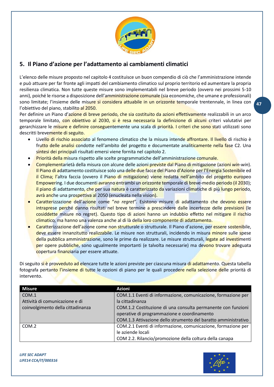

# <span id="page-46-0"></span>**5. Il Piano d'azione per l'adattamento ai cambiamenti climatici**

L'elenco delle misure proposto nel capitolo 4 costituisce un buon compendio di ciò che l'amministrazione intende e può attuare per far fronte agli impatti del cambiamento climatico sul proprio territorio ed aumentare la propria resilienza climatica. Non tutte queste misure sono implementabili nel breve periodo (ovvero nei prossimi 5-10 anni), poiché le risorse a disposizione dell'amministrazione comunale (sia economiche, che umane e professionali) sono limitate; l'insieme delle misure si considera attuabile in un orizzonte temporale trentennale, in linea con l'obiettivo del piano, stabilito al 2050.

Per definire un Piano d'azione di breve periodo, che sia costituito da azioni effettivamente realizzabili in un arco temporale limitato, con obiettivo al 2030, si è resa necessaria la definizione di alcuni criteri valutativi per gerarchizzare le misure e definire conseguentemente una scala di priorità. I criteri che sono stati utilizzati sono descritti brevemente di seguito.

- Livello di rischio associato al fenomeno climatico che la misura intende affrontare. Il livello di rischio è frutto delle analisi condotte nell'ambito del progetto e documentate analiticamente nella fase C2. Una sintesi dei principali risultati emersi viene fornita nel capitolo 2.
- Priorità della misura rispetto alle scelte programmatiche dell'amministrazione comunale.
- Complementarietà della misura con alcune delle azioni previste dal Piano di mitigazione (azioni *win-win*). Il Piano di adattamento costituisce solo una delle due facce del Piano d'Azione per l'Energia Sostenibile ed il Clima; l'altra faccia (ovvero il Piano di mitigazione) viene redatta nell'ambito del progetto europeo Empowering. I due documenti avranno entrambi un orizzonte temporale di breve-medio periodo (il 2030); il piano di adattamento, che per sua natura è caratterizzato da variazioni climatiche di più lungo periodo, avrà anche una prospettiva al 2050 (enucleata nella vision).
- Caratterizzazione dell'azione come "*no regret*". Esistono misure di adattamento che devono essere intraprese perché danno risultati nel breve termine a prescindere dalle incertezze delle previsioni (le cosiddette misure no regret). Questo tipo di azioni hanno un indubbio effetto nel mitigare il rischio climatico, ma hanno una valenza anche al di là della loro componente di adattamento.
- Caratterizzazione dell'azione come non strutturale o strutturale. Il Piano d'azione, per essere sostenibile, deve essere innanzitutto realizzabile. Le misure non strutturali, incidendo in misura minore sulle spese della pubblica amministrazione, sono le prime da realizzare. Le misure strutturali, legate ad investimenti per opere pubbliche, sono ugualmente importanti (e talvolta necessarie) ma devono trovare adeguata copertura finanziaria per essere attuate.

Di seguito si è provveduto ad elencare tutte le azioni previste per ciascuna misura di adattamento. Questa tabella fotografa pertanto l'insieme di tutte le opzioni di piano per le quali procedere nella selezione delle priorità di intervento.

| <b>Misure</b>                     | <b>Azioni</b>                                                  |
|-----------------------------------|----------------------------------------------------------------|
| COM.1                             | COM.1.1 Eventi di informazione, comunicazione, formazione per  |
| Attività di comunicazione e di    | la cittadinanza                                                |
| coinvolgimento della cittadinanza | COM.1.2 Costituzione di una consulta permanente con funzioni   |
|                                   | operative di programmazione e coordinamento                    |
|                                   | COM.1.3 Attivazione dello strumento del baratto amministrativo |
| COM.2                             | COM.2.1 Eventi di informazione, comunicazione, formazione per  |
|                                   | le aziende locali                                              |
|                                   | COM 2.2. Rilancio/promozione della coltura della canapa        |

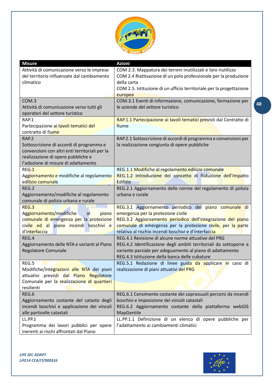

| <b>Misure</b>                                  | <b>Azioni</b>                                                        |
|------------------------------------------------|----------------------------------------------------------------------|
| Attività di comunicazione verso le imprese     | COM 2.3. Mappatura dei terreni inutilizzati e loro riutilizzo        |
| del territorio influenzate dal cambiamento     | COM 2.4 Riattivazione di un polo professionale per la produzione     |
| climatico                                      | della carta                                                          |
|                                                | COM 2.5. Istituzione di un ufficio territoriale per la progettazione |
|                                                | europea                                                              |
| COM.3                                          | COM.3.1 Eventi di informazione, comunicazione, formazione per        |
| Attività di comunicazione verso tutti gli      | le aziende del settore turistico                                     |
| operatori del settore turistico                |                                                                      |
| RAP.1                                          | RAP.1.1 Partecipazione ai tavoli tematici previsti dal Contratto di  |
| Partecipazione ai tavoli tematici del          | fiume                                                                |
| contratto di fiume                             |                                                                      |
| <b>RAP.2</b>                                   | RAP.2.1 Sottoscrizione di accordi di programma e convenzioni per     |
| Sottoscrizione di accordi di programma e       | la realizzazione congiunta di opere pubbliche                        |
| convenzioni con altri enti territoriali per la |                                                                      |
| realizzazione di opere pubbliche e             |                                                                      |
| l'adozione di misure di adattamento            |                                                                      |
| REG.1                                          | REG.1.1 Modifiche al regolamento edilizio comunale                   |
| Aggiornamento e modifiche al regolamento       | REG.1.2 Introduzione del concetto di Riduzione dell'Impatto          |
| edilizio comunale                              | <b>Edilizio</b>                                                      |
| REG.2                                          | REG.2.1 Aggiornamento delle norme del regolamento di polizia         |
| Aggiornamento/modifiche al regolamento         | urbana e rurale                                                      |
| comunale di polizia urbana e rurale            |                                                                      |
| REG.3                                          | REG.3.1 Aggiornamento periodico del piano comunale di                |
| Aggiornamento/modifiche<br>piano<br>al         | emergenza per la protezione civile                                   |
| comunale di emergenza per la protezione        | REG.3.2 Aggiornamento periodico dell'integrazione del piano          |
| civile ed al piano incendi boschivi e          | comunale di emergenza per la protezione civile, per la parte         |
| d'interfaccia                                  | relativa al rischio incendi boschivi e d'interfaccia                 |
| REG.4                                          | REG.4.1 Revisione di alcune norme attuative del PRG                  |
| Aggiornamento delle NTA e varianti al Piano    | REG.4.2 Identificazione degli ambiti territoriali da sottoporre a    |
| Regolatore Comunale                            | variante parziale per adeguamento al piano di adattamento            |
|                                                | REG.4.3 Istituzione della banca delle cubature                       |
| REG.5                                          | REG.5.1 Redazione di linee guida da applicare in caso di             |
| Modifiche/integrazioni alle NTA dei piani      | realizzazione di piani attuativi del PRG                             |
| attuativi previsti dal Piano Regolatore        |                                                                      |
| Comunale per la realizzazione di quartieri     |                                                                      |
| resilienti                                     |                                                                      |
| REG.6                                          | REG.6.1 Censimento costante dei soprassuoli percorsi da incendi      |
| Aggiornamento costante del catasto degli       | boschivi e imposizione dei vincoli catastali                         |
| incendi boschivi e applicazione dei vincoli    | REG.6.2 Aggiornamento costante della piattaforma webGIS              |
| alle particelle catastali                      | MapGentile                                                           |
| <b>LL.PP.1</b>                                 | LL.PP.1.1 Definizione di un elenco di opere pubbliche per            |
| Programma dei lavori pubblici per opere        | l'adattamento ai cambiamenti climatici                               |
| inerenti ai rischi affrontati dal Piano        |                                                                      |

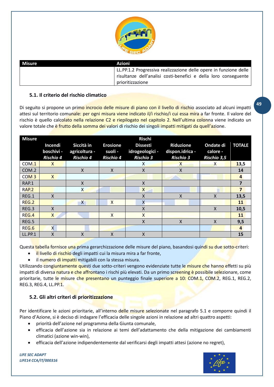

| Misure | Azioni                                                            |
|--------|-------------------------------------------------------------------|
|        | LL.PP.1.2 Progressiva realizzazione delle opere in funzione delle |
|        | risultanze dell'analisi costi-benefici e della loro conseguente   |
|        | prioritizzazione                                                  |

## <span id="page-48-0"></span>**5.1. Il criterio del rischio climatico**

Di seguito si propone un primo incrocio delle misure di piano con il livello di rischio associato ad alcuni impatti attesi sul territorio comunale: per ogni misura viene indicato il/i rischio/i cui essa mira a far fronte. Il valore del rischio è quello calcolato nella relazione C2 e riepilogato nel capitolo 2. Nell'ultima colonna viene indicato un valore totale che è frutto della somma dei valori di rischio dei singoli impatti mitigati da quell'azione.

| <b>Misure</b>    |                       |                             |                            | <b>Rischi</b>                      |                                     |                       |                |
|------------------|-----------------------|-----------------------------|----------------------------|------------------------------------|-------------------------------------|-----------------------|----------------|
|                  | Incendi<br>boschivi - | Siccità in<br>agricoltura - | <b>Erosione</b><br>suoli - | <b>Dissesti</b><br>idrogeologici - | <b>Riduzione</b><br>dispon.idrica - | Ondate di<br>calore - | <b>TOTALE</b>  |
|                  | <b>Rischio 4</b>      | <b>Rischio 4</b>            | <b>Rischio 4</b>           | <b>Rischio 3</b>                   | <b>Rischio 3</b>                    | <b>Rischio 3,5</b>    |                |
| COM.1            | $\mathsf{x}$          |                             |                            | X                                  | X                                   | $\times$              | 13,5           |
| COM.2            |                       | $\sf X$                     | X                          | $\mathsf{x}$                       | X                                   |                       | 14             |
| COM <sub>3</sub> | $\mathsf{X}$          |                             |                            |                                    |                                     |                       | 4              |
| RAP.1            |                       | X                           |                            | X                                  |                                     |                       | 7              |
| <b>RAP.2</b>     |                       | $\mathsf{X}$                |                            | X                                  |                                     |                       | 7              |
| REG.1            | X                     |                             |                            | X                                  | X                                   | $\mathsf{X}$          | 13,5           |
| REG.2            |                       | $\mathsf{X}$                | $\mathsf{x}$               | X                                  |                                     |                       | 11             |
| REG.3            | $\mathsf{X}$          |                             |                            | X                                  |                                     | $\mathsf{X}$          | 10,5           |
| REG.4            | $\mathsf{x}$          |                             | X                          | Χ                                  |                                     |                       | 11             |
| REG.5            |                       |                             |                            | Χ                                  | X                                   | X                     | 9,5            |
| REG.6            | $\mathsf{X}$          |                             |                            |                                    |                                     |                       | $\overline{4}$ |
| <b>LL.PP.1</b>   | $\sf X$               | Χ                           | X                          | X                                  |                                     |                       | 15             |

Questa tabella fornisce una prima gerarchizzazione delle misure del piano, basandosi quindi su due sotto-criteri:

- il livello di rischio degli impatti cui la misura mira a far fronte,
- il numero di impatti mitigabili con la stessa misura.

Utilizzando congiuntamente questi due sotto-criteri vengono evidenziate tutte le misure che hanno effetti su più impatti di diversa natura e che affrontano i rischi più elevati. Da un primo screening è possibile selezionare, come prioritarie, tutte le misure che presentano un punteggio finale superiore a 10: COM.1, COM.2, REG.1, REG.2, REG.3, REG.4, LL.PP.1.

## <span id="page-48-1"></span>**5.2. Gli altri criteri di prioritizzazione**

Per identificare le azioni prioritarie, all'interno delle misure selezionate nel paragrafo 5.1 e comporre quindi il Piano d'Azione, si è deciso di indagare l'efficacia delle singole azioni in relazione ad altri quattro aspetti:

- priorità dell'azione nel programma della Giunta comunale,
- efficacia dell'azione sia in relazione ai temi dell'adattamento che della mitigazione dei cambiamenti climatici (azione win-win),
- efficacia dell'azione indipendentemente dal verificarsi degli impatti attesi (azione no regret),

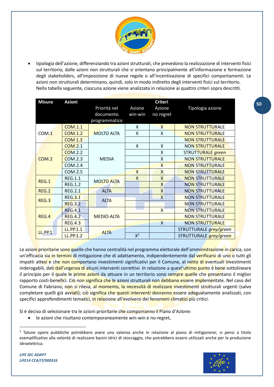

• tipologia dell'azione, differenziando tra azioni strutturali, che prevedono la realizzazione di interventi fisici sul territorio, dalle azioni non strutturali che si orientano principalmente all'informazione e formazione degli stakeholders, all'imposizione di nuove regole o all'incentivazione di specifici comportamenti. Le azioni non strutturali determinano, quindi, solo in modo indiretto degli interventi fisici sul territorio. Nella tabella seguente, ciascuna azione viene analizzata in relazione ai quattro criteri sopra descritti.

| <b>Misura</b>  | <b>Azioni</b>    | <b>Criteri</b>    |              |                         |                        |  |
|----------------|------------------|-------------------|--------------|-------------------------|------------------------|--|
|                |                  | Priorità nel      | Azione       | Azione                  | Tipologia azione       |  |
|                |                  | documento         | win-win      | no regret               |                        |  |
|                |                  | programmatico     |              |                         |                        |  |
|                | <b>COM.1.1</b>   |                   | X            | $\mathsf{X}$            | <b>NON STRUTTURALE</b> |  |
| COM.1          | <b>COM.1.2</b>   | <b>MOLTO ALTA</b> | X            | $\mathsf{x}$            | <b>NON STRUTTURALE</b> |  |
|                | <b>COM 1.3</b>   |                   |              |                         | <b>NON STRUTTURALE</b> |  |
|                | <b>COM.2.1</b>   |                   | X            | X                       | <b>NON STRUTTURALE</b> |  |
|                | <b>COM.2.2</b>   |                   |              | $\mathsf{x}$            | STRUTTURALE green      |  |
| COM.2          | COM.2.3          | <b>MEDIA</b>      |              | X                       | <b>NON STRUTTURALE</b> |  |
|                | <b>COM.2.4</b>   |                   |              | $\mathsf{X}$            | <b>NON STRUTTURALE</b> |  |
|                | COM.2.5          |                   | $\mathsf{X}$ | $\overline{X}$          | <b>NON STRUTTURALE</b> |  |
| REG.1          | <b>REG.1.1</b>   | <b>MOLTO ALTA</b> | X            | $\mathsf{X}$            | <b>NON STRUTTURALE</b> |  |
|                | <b>REG.1.2</b>   |                   |              | X                       | <b>NON STRUTTURALE</b> |  |
| <b>REG.2</b>   | <b>REG.2.1</b>   | <b>ALTA</b>       |              | $\overline{X}$          | <b>NON STRUTTURALE</b> |  |
| REG.3          | <b>REG.3.1</b>   | <b>ALTA</b>       |              | $\times$                | <b>NON STRUTTURALE</b> |  |
|                | <b>REG.3.2</b>   |                   |              |                         | <b>NON STRUTTURALE</b> |  |
|                | <b>REG.4.1</b>   |                   |              | $\mathsf{X}$            | <b>NON STRUTTURALE</b> |  |
| REG.4          | <b>REG.4.2</b>   | <b>MEDIO-ALTA</b> |              |                         | <b>NON STRUTTURALE</b> |  |
|                | <b>REG.4.3</b>   |                   |              | $\overline{\mathsf{x}}$ | <b>NON STRUTTURALE</b> |  |
| <b>LL.PP.1</b> | LL.PP.1.1        | <b>ALTA</b>       |              |                         | STRUTTURALE grey/green |  |
|                | <b>LL.PP.1.2</b> |                   | $X^3$        |                         | STRUTTURALE grey/green |  |

Le azioni prioritarie sono quelle che hanno centralità nel programma elettorale dell'amministrazione in carica, con un'efficacia sia in termini di mitigazione che di adattamento, indipendentemente dal verificarsi di uno o tutti gli impatti attesi e che non comportano investimenti significativi per il Comune, al netto di eventuali investimenti inderogabili, dati dall'urgenza di alcuni interventi correttivi. In relazione a quest'ultimo punto è bene sottolineare il principio per il quale le prime azioni da attuare in un territorio sono sempre quelle che presentano il miglior rapporto costi-benefici. Ciò non significa che le azioni strutturali non debbano essere implementate. Nel caso del Comune di Fabriano, non si rileva, al momento, la necessità di realizzare investimenti strutturali urgenti (salvo completare quelli già avviati); ciò significa che questi interventi dovranno essere adeguatamente analizzati, con specifici approfondimenti tematici, in relazione all'evolversi dei fenomeni climatici più critici.

Si è deciso di selezionare tra le azioni prioritarie che comporranno il Piano d'Azione:

• le azioni che risultano contemporaneamente win-win e no-regret,

<sup>&</sup>lt;sup>3</sup> Talune opere pubbliche potrebbero avere una valenza anche in relazione al piano di mitigazione; si pensi a titolo esemplificativo alla volontà di realizzare bacini idrici di stoccaggio, che potrebbero essere utilizzati anche per la produzione idroelettrica.



**50**

*LIFE SEC ADAPT LIFE14 CCA/IT/000316*

 $\overline{a}$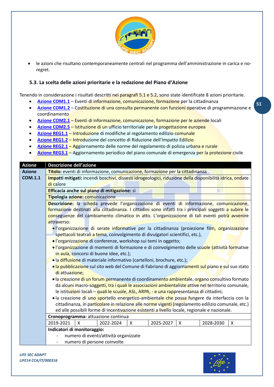

• le azioni che risultano contemporaneamente centrali nel programma dell'amministrazione in carica e noregret.

## <span id="page-50-0"></span>**5.3. La scelta delle azioni prioritarie e la redazione del Piano d'Azione**

Tenendo in considerazione i risultati descritti nei paragrafi 5.1 e 5.2, sono state identificate 8 azioni prioritarie.

- **[Azione COM1.1](#page-50-1)** Eventi di informazione, comunicazione, formazione per la cittadinanza
- **[Azione COM1.2](#page-51-0)** Costituzione di una consulta permanente con funzioni operative di programmazione e coordinamento
- **[Azione COM2.1](#page-52-0)** Eventi di informazione, comunicazione, formazione per le aziende locali
- **[Azione COM2.5](#page-52-1)** Istituzione di un ufficio territoriale per la progettazione europea
- **[Azione REG1.1](#page-53-0)** Introduzione di modifiche al regolamento edilizio comunale
- **[Azione REG1.2](#page-55-0)** Introduzione del concetto di Riduzione dell'Impatto Edilizio
- **[Azione REG2.1](#page-56-0)** Aggiornamento delle norme del regolamento di polizia urbana e rurale
- **[Azione REG3.1](#page-57-0)** Aggiornamento periodico del piano comunale di emergenza per la protezione civile

<span id="page-50-1"></span>

| <b>Azione</b>  | <b>Descrizione dell'azione</b>                                                                           |  |  |  |  |  |  |
|----------------|----------------------------------------------------------------------------------------------------------|--|--|--|--|--|--|
| <b>Azione</b>  | Titolo: eventi di informazione, comunicazione, formazione per la cittadinanza                            |  |  |  |  |  |  |
| <b>COM.1.1</b> | Impatti mitigati: incendi boschivi, dissesti idrogeologici, riduzione della disponibilità idrica, ondate |  |  |  |  |  |  |
|                | di calore                                                                                                |  |  |  |  |  |  |
|                | Efficacia anche sul piano di mitigazione: sì                                                             |  |  |  |  |  |  |
|                | Tipologia azione: comunicazione                                                                          |  |  |  |  |  |  |
|                | Descrizione: la scheda prevede l'organizzazione di eventi di informazione, comunicazione,                |  |  |  |  |  |  |
|                | formazione destinati alla cittadinanza. I cittadini sono infatti tra i principali soggetti a subire le   |  |  |  |  |  |  |
|                | conseguenze del cambiamento climatico in atto. L'organizzazione di tali eventi potrà avvenire            |  |  |  |  |  |  |
|                | attraverso:                                                                                              |  |  |  |  |  |  |
|                | · l'organizzazione di serate informative per la cittadinanza (proiezione film, organizzazione            |  |  |  |  |  |  |
|                | spettacoli teatrali a tema, coinvolgimento di divulgatori scientifici, etc.),                            |  |  |  |  |  |  |
|                | · l'organizzazione di conferenze, workshop sui temi in oggetto;                                          |  |  |  |  |  |  |
|                | · l'organizzazione di momenti di formazione e di coinvolgimento delle scuole (attività formative         |  |  |  |  |  |  |
|                | in aula, concorsi di buone idee, etc.);                                                                  |  |  |  |  |  |  |
|                | · la diffusione di materiale informativo (cartelloni, brochure, etc.);                                   |  |  |  |  |  |  |
|                | · la pubblicazione sul sito web del Comune di Fabriano di aggiornamenti sul piano e sul suo stato        |  |  |  |  |  |  |
|                | di attuazione;                                                                                           |  |  |  |  |  |  |
|                | · la creazione di un forum permanente di coordinamento ambientale, organo consultivo formato             |  |  |  |  |  |  |
|                | da alcuni macro-soggetti, tra i quali le associazioni ambientaliste attive nel territorio comunale,      |  |  |  |  |  |  |
|                | le istituzioni locali – quali le scuole, ASL, ARPA, - e una rappresentanza di cittadini;                 |  |  |  |  |  |  |
|                | · la creazione di uno sportello energetico-ambientale che possa fungere da interfaccia con la            |  |  |  |  |  |  |
|                | cittadinanza, in particolare in relazione alle norme vigenti (regolamento edilizio comunale, etc.)       |  |  |  |  |  |  |
|                | ed alle possibili forme di incentivazione esistenti a livello locale, regionale e nazionale.             |  |  |  |  |  |  |
|                | Cronoprogramma: attuazione continua                                                                      |  |  |  |  |  |  |
|                | 2025-2027<br>2019-2021<br>$\mathsf{X}$<br>2022-2024<br>X<br>2028-2030<br>$\boldsymbol{\mathsf{X}}$<br>X  |  |  |  |  |  |  |
|                | Indicatori di monitoraggio:                                                                              |  |  |  |  |  |  |
|                | numero di eventi/attività organizzate                                                                    |  |  |  |  |  |  |
|                | numero di persone coinvolte                                                                              |  |  |  |  |  |  |

*LIFE SEC ADAPT LIFE14 CCA/IT/000316*

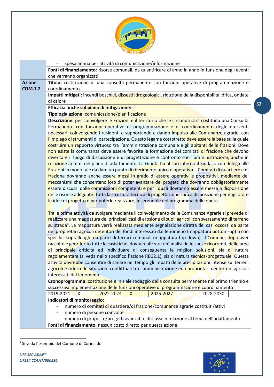

<span id="page-51-0"></span>

|                | spesa annua per attività di comunicazione/informazione                                                                                                                                                    |  |  |  |  |  |  |  |
|----------------|-----------------------------------------------------------------------------------------------------------------------------------------------------------------------------------------------------------|--|--|--|--|--|--|--|
|                | Fonti di finanziamento: risorse comunali, da quantificare di anno in anno in funzione degli eventi                                                                                                        |  |  |  |  |  |  |  |
|                | che verranno organizzati                                                                                                                                                                                  |  |  |  |  |  |  |  |
| <b>Azione</b>  | Titolo: costituzione di una consulta permanente con funzioni operative di programmazione e                                                                                                                |  |  |  |  |  |  |  |
| <b>COM.1.2</b> | coordinamento                                                                                                                                                                                             |  |  |  |  |  |  |  |
|                | Impatti mitigati: incendi boschivi, dissesti idrogeologici, riduzione della disponibilità idrica, ondate                                                                                                  |  |  |  |  |  |  |  |
|                | di calore                                                                                                                                                                                                 |  |  |  |  |  |  |  |
|                | Efficacia anche sul piano di mitigazione: sì                                                                                                                                                              |  |  |  |  |  |  |  |
|                | Tipologia azione: comunicazione/pianificazione                                                                                                                                                            |  |  |  |  |  |  |  |
|                | Descrizione: per coinvolgere le Frazioni e il territorio che le circonda sarà costituita una Consulta                                                                                                     |  |  |  |  |  |  |  |
|                | Permanente con funzioni operative di programmazione e di coordinamento degli interventi                                                                                                                   |  |  |  |  |  |  |  |
|                | necessari, coinvolgendo i residenti e supportando e dando impulso alle Comunanze agrarie, con                                                                                                             |  |  |  |  |  |  |  |
|                | l'impiego di strumenti di partecipazione. Questo legame così stretto deve essere la base sulla quale                                                                                                      |  |  |  |  |  |  |  |
|                | costruire un rapporto virtuoso tra l'amministrazione comunale e gli abitanti delle frazioni. Dove                                                                                                         |  |  |  |  |  |  |  |
|                | non esiste la comunanza deve essere favorita la formazione dei comitati di frazione che devono                                                                                                            |  |  |  |  |  |  |  |
|                | diventare il luogo di discussione e di progettazione e confronto con l'amministrazione, anche in                                                                                                          |  |  |  |  |  |  |  |
|                | relazione ai temi del piano di adattamento. La Giunta ha al suo interno il Sindaco con delega alle                                                                                                        |  |  |  |  |  |  |  |
|                | Frazioni in modo tale da dare un punto di riferimento unico e operativo. I Comitati di quartiere e di<br>frazione dovranno anche essere messi in grado di essere operativi e propositivi, mediante dei    |  |  |  |  |  |  |  |
|                | meccanismi che consentano loro di poter avanzare dei progetti che dovranno obbligatoriamente                                                                                                              |  |  |  |  |  |  |  |
|                |                                                                                                                                                                                                           |  |  |  |  |  |  |  |
|                | essere discussi dalle commissioni competenti e per i quali dovranno essere messe a disposizione<br>delle risorse adeguate. Tutta la struttura tecnica di progettazione sarà a disposizione per migliorare |  |  |  |  |  |  |  |
|                | le idee di progetto e per poterle realizzare, inserendole nel programma delle opere.                                                                                                                      |  |  |  |  |  |  |  |
|                |                                                                                                                                                                                                           |  |  |  |  |  |  |  |
|                | Tra le prime attività da svolgere mediante il coinvolgimento delle Comunanze Agrarie si prevede di                                                                                                        |  |  |  |  |  |  |  |
|                | realizzare una mappatura dei principali casi di erosione di suoli agricoli con sversamento di terreno                                                                                                     |  |  |  |  |  |  |  |
|                | su strada <sup>4</sup> . La mappatura verrà realizzata mediante segnalazione diretta dei casi occorsi da parte                                                                                            |  |  |  |  |  |  |  |
|                | dei proprietari agricoli detentori dei fondi interessati dal fenomeno (mappatura bottom-up) o con                                                                                                         |  |  |  |  |  |  |  |
|                | specifici sopralluoghi da parte di tecnici comunali (mappatura top-down). Il Comune, dopo aver                                                                                                            |  |  |  |  |  |  |  |
|                | raccolto e georiferito tutte le casistiche, dovrà realizzare un'analisi delle cause ricorrenti, delle aree                                                                                                |  |  |  |  |  |  |  |
|                | di principale criticità ed individuare di conseguenza le migliori soluzioni, sia di natura                                                                                                                |  |  |  |  |  |  |  |
|                | regolamentare (si veda nello specifico l'azione REG2.1), sia di natura tecnica/progettuale. Questa                                                                                                        |  |  |  |  |  |  |  |
|                | attività dovrebbe consentire di sanare nel tempo gli impatti delle precipitazioni intense sui terreni                                                                                                     |  |  |  |  |  |  |  |
|                | agricoli e ridurre le situazioni conflittuali tra l'amministrazione ed i proprietari dei terreni agricoli                                                                                                 |  |  |  |  |  |  |  |
|                | interessati dal fenomeno.                                                                                                                                                                                 |  |  |  |  |  |  |  |
|                | Cronoprogramma: costituzione e iniziale rodaggio della consulta permanente nel primo triennio e                                                                                                           |  |  |  |  |  |  |  |
|                | successiva implementazione delle funzioni operative di programmazione e coordinamento                                                                                                                     |  |  |  |  |  |  |  |
|                | 2025-2027<br>$\overline{X}$<br>2022-2024<br>$\mathsf{X}$<br>2019-2021<br>2028-2030                                                                                                                        |  |  |  |  |  |  |  |
|                | Indicatori di monitoraggio:                                                                                                                                                                               |  |  |  |  |  |  |  |
|                | numero di comitati di quartiere/di frazione/comunanze agrarie costituiti/attivi                                                                                                                           |  |  |  |  |  |  |  |
|                | numero di persone coinvolte                                                                                                                                                                               |  |  |  |  |  |  |  |
|                | numero di proposte/progetti avanzati e discussi in relazione al tema dell'adattamento                                                                                                                     |  |  |  |  |  |  |  |
|                | Fonti di finanziamento: nessun costo diretto per questa azione                                                                                                                                            |  |  |  |  |  |  |  |

<sup>4</sup> Si veda l'esempio del Comune di Corinaldo

*LIFE SEC ADAPT LIFE14 CCA/IT/000316*

 $\overline{a}$ 

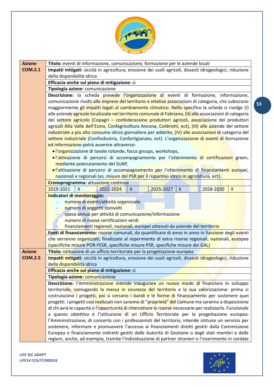

<span id="page-52-1"></span><span id="page-52-0"></span>

| <b>Azione</b>  | Titolo: eventi di informazione, comunicazione, formazione per le aziende locali                                                                                                                                                                                                                                                                                                                                                                                                                                        |  |  |  |  |  |  |  |
|----------------|------------------------------------------------------------------------------------------------------------------------------------------------------------------------------------------------------------------------------------------------------------------------------------------------------------------------------------------------------------------------------------------------------------------------------------------------------------------------------------------------------------------------|--|--|--|--|--|--|--|
| <b>COM.2.1</b> | Impatti mitigati: siccità in agricoltura, erosione dei suoli agricoli, dissesti idrogeologici, riduzione                                                                                                                                                                                                                                                                                                                                                                                                               |  |  |  |  |  |  |  |
|                | della disponibilità idrica                                                                                                                                                                                                                                                                                                                                                                                                                                                                                             |  |  |  |  |  |  |  |
|                | Efficacia anche sul piano di mitigazione: sì                                                                                                                                                                                                                                                                                                                                                                                                                                                                           |  |  |  |  |  |  |  |
|                | Tipologia azione: comunicazione                                                                                                                                                                                                                                                                                                                                                                                                                                                                                        |  |  |  |  |  |  |  |
|                | Descrizione: la scheda prevede l'organizzazione di eventi di formazione, informazione,<br>comunicazione rivolti alle imprese del territorio e relative associazioni di categoria, che subiscono<br>maggiormente gli impatti legati al cambiamento climatico. Nello specifico la scheda si rivolge (I)<br>alle aziende agricole localizzate nel territorio comunale di Fabriano, (II) alle associazioni di categoria<br>del settore agricolo (Copagri - confederazione produttori agricoli, associazione dei produttori |  |  |  |  |  |  |  |
|                |                                                                                                                                                                                                                                                                                                                                                                                                                                                                                                                        |  |  |  |  |  |  |  |
|                |                                                                                                                                                                                                                                                                                                                                                                                                                                                                                                                        |  |  |  |  |  |  |  |
|                |                                                                                                                                                                                                                                                                                                                                                                                                                                                                                                                        |  |  |  |  |  |  |  |
|                |                                                                                                                                                                                                                                                                                                                                                                                                                                                                                                                        |  |  |  |  |  |  |  |
|                | agricoli Alta Valle dell'Esino, Confagricoltura Ancona, Coldiretti, ect), (III) alle aziende del settore                                                                                                                                                                                                                                                                                                                                                                                                               |  |  |  |  |  |  |  |
|                | industriale a più alto consumo idrico giornaliero per addetto, (IV) alle associazioni di categoria del                                                                                                                                                                                                                                                                                                                                                                                                                 |  |  |  |  |  |  |  |
|                | settore industriale (Confindustria, Confartigianato, ect). L'organizzazione di eventi di formazione                                                                                                                                                                                                                                                                                                                                                                                                                    |  |  |  |  |  |  |  |
|                | ed informazione potrà avvenire attraverso:                                                                                                                                                                                                                                                                                                                                                                                                                                                                             |  |  |  |  |  |  |  |
|                | · l'organizzazione di tavole rotonde, focus groups, workshops,                                                                                                                                                                                                                                                                                                                                                                                                                                                         |  |  |  |  |  |  |  |
|                | ·l'attivazione di percorsi di accompagnamento per l'ottenimento di certificazioni green,                                                                                                                                                                                                                                                                                                                                                                                                                               |  |  |  |  |  |  |  |
|                | mediante potenziamento del SUAP,<br>·l'attivazione di percorsi di accompagnamento per l'ottenimento di finanziamenti europei,                                                                                                                                                                                                                                                                                                                                                                                          |  |  |  |  |  |  |  |
|                | nazionali e regionali (es. misure del PSR per il risparmio idrico in agricoltura, ect).                                                                                                                                                                                                                                                                                                                                                                                                                                |  |  |  |  |  |  |  |
|                | Cronoprogramma: attuazione continua                                                                                                                                                                                                                                                                                                                                                                                                                                                                                    |  |  |  |  |  |  |  |
|                | 2019-2021<br>2022-2024<br>2025-2027<br>2028-2030<br>$\mathsf{X}$<br>$\boldsymbol{\mathsf{X}}$<br>$\boldsymbol{X}$<br>$\mathsf{X}$                                                                                                                                                                                                                                                                                                                                                                                      |  |  |  |  |  |  |  |
|                | Indicatori di monitoraggio:                                                                                                                                                                                                                                                                                                                                                                                                                                                                                            |  |  |  |  |  |  |  |
|                | numero di eventi/attività organizzate                                                                                                                                                                                                                                                                                                                                                                                                                                                                                  |  |  |  |  |  |  |  |
|                | numero di soggetti coinvolti                                                                                                                                                                                                                                                                                                                                                                                                                                                                                           |  |  |  |  |  |  |  |
|                | spesa annua per attività di comunicazione/informazione                                                                                                                                                                                                                                                                                                                                                                                                                                                                 |  |  |  |  |  |  |  |
|                | numero di nuove certificazioni verdi                                                                                                                                                                                                                                                                                                                                                                                                                                                                                   |  |  |  |  |  |  |  |
|                | finanziamenti regionali, nazionali, europei ottenuti da aziende del territorio                                                                                                                                                                                                                                                                                                                                                                                                                                         |  |  |  |  |  |  |  |
|                | Fonti di finanziamento: risorse comunali, da quantificare di anno in anno in funzione degli eventi                                                                                                                                                                                                                                                                                                                                                                                                                     |  |  |  |  |  |  |  |
|                | che verranno organizzati, finalizzate al reperimento di extra risorse regionali, nazionali, europee                                                                                                                                                                                                                                                                                                                                                                                                                    |  |  |  |  |  |  |  |
|                | (specifiche misure POR-FESR, specifiche misure PSR, specifiche misure dei GAL)                                                                                                                                                                                                                                                                                                                                                                                                                                         |  |  |  |  |  |  |  |
| <b>Azione</b>  | Titolo: istituzione di un ufficio territoriale per la progettazione europea                                                                                                                                                                                                                                                                                                                                                                                                                                            |  |  |  |  |  |  |  |
| <b>COM.2.5</b> | Impatti mitigati: siccità in agricoltura, erosione dei suoli agricoli, dissesti idrogeologici, riduzione                                                                                                                                                                                                                                                                                                                                                                                                               |  |  |  |  |  |  |  |
|                | della disponibilità idrica                                                                                                                                                                                                                                                                                                                                                                                                                                                                                             |  |  |  |  |  |  |  |
|                | Efficacia anche sul piano di mitigazione: sì                                                                                                                                                                                                                                                                                                                                                                                                                                                                           |  |  |  |  |  |  |  |
|                | Tipologia azione: comunicazione                                                                                                                                                                                                                                                                                                                                                                                                                                                                                        |  |  |  |  |  |  |  |
|                | Descrizione: l'Amministrazione intende inaugurare un nuovo modo di finanziare lo sviluppo                                                                                                                                                                                                                                                                                                                                                                                                                              |  |  |  |  |  |  |  |
|                | territoriale, coniugando la messa in sicurezza del territorio e la sua valorizzazione: prima si                                                                                                                                                                                                                                                                                                                                                                                                                        |  |  |  |  |  |  |  |
|                | costruiscono i progetti, poi si cercano i bandi e le forme di finanziamento per sostenere quei                                                                                                                                                                                                                                                                                                                                                                                                                         |  |  |  |  |  |  |  |
|                | progetti. I progetti così realizzati non saranno di "proprietà" del Comune ma saranno a disposizione<br>di chi avrà le capacità o l'opportunità di intercettare le risorse necessarie per realizzarlo. Funzionale                                                                                                                                                                                                                                                                                                      |  |  |  |  |  |  |  |
|                | a questo obiettivo è l'istituzione di un Ufficio Territoriale per la progettazione europea:                                                                                                                                                                                                                                                                                                                                                                                                                            |  |  |  |  |  |  |  |
|                | l'Amministrazione, di concerto con i professionisti del territorio, intende istituire un servizio per                                                                                                                                                                                                                                                                                                                                                                                                                  |  |  |  |  |  |  |  |
|                | sostenere, informare e promuovere l'accesso ai finanziamenti diretti gestiti dalla Commissione                                                                                                                                                                                                                                                                                                                                                                                                                         |  |  |  |  |  |  |  |
|                | Europea o finanziamento indiretti gestiti dalle Autorità di Gestione o dagli stati membri e dalle                                                                                                                                                                                                                                                                                                                                                                                                                      |  |  |  |  |  |  |  |
|                | regioni, anche, ad esempio, tramite l'individuazione di partner stranieri o l'inserimento in cordate                                                                                                                                                                                                                                                                                                                                                                                                                   |  |  |  |  |  |  |  |

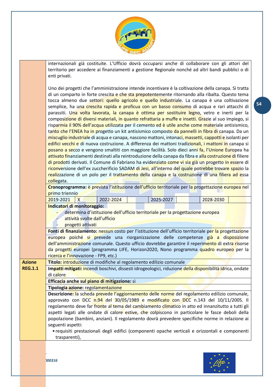

internazionali già costituite. L'Ufficio dovrà occuparsi anche di collaborare con gli attori del territorio per accedere ai finanziamenti a gestione Regionale nonché ad altri bandi pubblici o di enti privati.

Uno dei progetti che l'amministrazione intende incentivare è la coltivazione della canapa. Si tratta di un comparto in forte crescita e che sta prepotentemente ritornando alla ribalta. Questo tema tocca almeno due settori: quello agricolo e quello industriale. La canapa è una coltivazione semplice, ha una crescita rapida e proficua con un basso consumo di acqua e rari attacchi di parassiti. Una volta lavorata, la canapa è ottima per sostituire legno, vetro e inerti per la composizione di diversi materiali, in quanto refrattaria a muffe e insetti. Grazie al suo impiego, si risparmia il 90% dell'acqua utilizzata per il cemento ed è utile anche come materiale antisismico, tanto che l'ENEA ha in progetto un kit antisismico composto da pannelli in fibra di canapa. Da un miscuglio industriale di acqua e canapa, nascono mattoni, intonaci, massetti, cappotti e isolanti per edifici vecchi e di nuova costruzione. A differenza dei mattoni tradizionali, i mattoni in canapa si posano a secco e vengono smaltiti con maggiore facilità. Solo dieci anni fa, l'Unione Europea ha attivato finanziamenti destinati alla reintroduzione della canapa da fibra e alla costruzione di filiere di prodotti derivati. Il Comune di Fabriano ha evidenziato come vi sia già un progetto in essere di riconversione dell'ex zuccherificio SADAM di Jesi, all'interno del quale potrebbe trovare spazio la realizzazione di un polo per il trattamento della canapa e la costruzione di una filiera ad essa collegata.

**Cronoprogramma:** è prevista l'istituzione dell'ufficio territoriale per la progettazione europea nel primo triennio

<span id="page-53-0"></span>

|                | ,,,,,,,,,,,,,,,,,,                                                                                       |                              |                                                                                                   |  |           |  |           |  |  |  |
|----------------|----------------------------------------------------------------------------------------------------------|------------------------------|---------------------------------------------------------------------------------------------------|--|-----------|--|-----------|--|--|--|
|                | 2019-2021                                                                                                | X                            | 2022-2024                                                                                         |  | 2025-2027 |  | 2028-2030 |  |  |  |
|                | Indicatori di monitoraggio:                                                                              |                              |                                                                                                   |  |           |  |           |  |  |  |
|                |                                                                                                          |                              | determina d'istituzione dell'ufficio territoriale per la progettazione europea                    |  |           |  |           |  |  |  |
|                |                                                                                                          | attività svolte dall'ufficio |                                                                                                   |  |           |  |           |  |  |  |
|                | progetti attivati                                                                                        |                              |                                                                                                   |  |           |  |           |  |  |  |
|                | Fonti di finanziamento: nessun costo per l'istituzione dell'ufficio territoriale per la progettazione    |                              |                                                                                                   |  |           |  |           |  |  |  |
|                |                                                                                                          |                              | europea poiché si prevede una riorganizzazione delle competenze già a disposizione                |  |           |  |           |  |  |  |
|                |                                                                                                          |                              | dell'amministrazione comunale. Questo ufficio dovrebbe garantire il reperimento di extra risorse  |  |           |  |           |  |  |  |
|                |                                                                                                          |                              | da progetti europei (programma LIFE, Horizon2020, Nono programma quadro europeo per la            |  |           |  |           |  |  |  |
|                | ricerca e l'innovazione - FP9, etc.)                                                                     |                              |                                                                                                   |  |           |  |           |  |  |  |
| <b>Azione</b>  |                                                                                                          |                              | Titolo: introduzione di modifiche al regolamento edilizio comunale                                |  |           |  |           |  |  |  |
| <b>REG.1.1</b> | Impatti mitigati: incendi boschivi, dissesti idrogeologici, riduzione della disponibilità idrica, ondate |                              |                                                                                                   |  |           |  |           |  |  |  |
|                | di calore                                                                                                |                              |                                                                                                   |  |           |  |           |  |  |  |
|                | Efficacia anche sul piano di mitigazione: sì                                                             |                              |                                                                                                   |  |           |  |           |  |  |  |
|                | Tipologia azione: regolamentazione                                                                       |                              |                                                                                                   |  |           |  |           |  |  |  |
|                |                                                                                                          |                              | Descrizione: la scheda prevede l'aggiornamento delle norme del regolamento edilizio comunale,     |  |           |  |           |  |  |  |
|                |                                                                                                          |                              | approvato con DCC n.94 del 30/05/1989 e modificato con DCC n.143 del 10/11/2005. Il               |  |           |  |           |  |  |  |
|                |                                                                                                          |                              | regolamento deve far fronte al tema del cambiamento climatico in atto ed innanzitutto a tutti gli |  |           |  |           |  |  |  |
|                |                                                                                                          |                              | aspetti legati alle ondate di calore estive, che colpiscono in particolare le fasce deboli della  |  |           |  |           |  |  |  |
|                |                                                                                                          |                              | popolazione (bambini, anziani). Il regolamento dovrà prevedere specifiche norme in relazione ai   |  |           |  |           |  |  |  |

• requisiti prestazionali degli edifici (componenti opache verticali e orizzontali e componenti trasparenti),



**54**

seguenti aspetti:

*LIFE SEC ADAPT*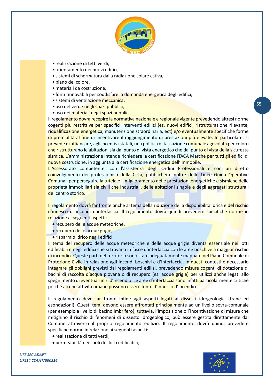

- realizzazione di tetti verdi,
- orientamento dei nuovi edifici,
- sistemi di schermatura dalla radiazione solare estiva,
- piano del colore,
- •materiali da costruzione,
- fonti rinnovabili per soddisfare la domanda energetica degli edifici,
- sistemi di ventilazione meccanica,
- uso del verde negli spazi pubblici,
- uso dei materiali negli spazi pubblici.

Il regolamento dovrà recepire la normativa nazionale e regionale vigente prevedendo altresì norme cogenti più restrittive per specifici interventi edilizi (es. nuovi edifici, ristrutturazione rilevante, riqualificazione energetica, manutenzione straordinaria, ect) e/o eventualmente specifiche forme di premialità al fine di incentivare il raggiungimento di prestazioni più elevate. In particolare, si prevede di affiancare, agli incentivi statali, una politica di tassazione comunale agevolata per coloro che ristrutturano le abitazioni sia dal punto di vista energetico che dal punto di vista della sicurezza sismica. L'amministrazione intende richiedere la certificazione ITACA Marche per tutti gli edifici di nuova costruzione, in aggiunta alla certificazione energetica dell'immobile.

L'Assessorato competente, con l'assistenza degli Ordini Professionali e con un diretto coinvolgimento dei professionisti della Città, pubblicherà inoltre delle Linee Guida Operative Comunali per perseguire la tutela e il miglioramento delle prestazioni energetiche e sismiche delle proprietà immobiliari sia civili che industriali, delle abitazioni singole e degli aggregati strutturali del centro storico.

Il regolamento dovrà far fronte anche al tema della riduzione della disponibilità idrica e del rischio d'innesco di incendi d'interfaccia. Il regolamento dovrà quindi prevedere specifiche norme in relazione ai seguenti aspetti:

- recupero delle acque meteoriche,
- recupero delle acque grigie,
- risparmio idrico negli edifici.

Il tema del recupero delle acque meteoriche e delle acque grigie diventa essenziale nei lotti edificabili e negli edifici che si trovano in fasce d'interfaccia con le aree boschive a maggior rischio di incendio. Queste parti del territorio sono state adeguatamente mappate nel Piano Comunale di Protezione Civile in relazione agli incendi boschivi e d'interfaccia. In questi contesti è necessario integrare gli obblighi previsti dai regolamenti edilizi, prevedendo misure cogenti di dotazione di bacini di raccolta d'acqua piovana o di recupero (es. acque grigie) per utilizzi anche legati allo spegnimento di eventuali inizi d'incendio. Le aree d'interfaccia sono infatti particolarmente critiche poiché alcune attività umane possono essere fonte d'innesco d'incendio.

Il regolamento deve far fronte infine agli aspetti legati ai dissesti idrogeologici (frane ed esondazioni). Questi temi devono essere affrontati principalmente ad un livello sovra-comunale (per esempio a livello di bacino imbrifero); tuttavia, l'imposizione o l'incentivazione di misure che mitighino il rischio di fenomeni di dissesto idrogeologico, può essere gestita direttamente dal Comune attraverso il proprio regolamento edilizio. Il regolamento dovrà quindi prevedere specifiche norme in relazione ai seguenti aspetti:

- realizzazione di tetti verdi,
- permeabilità dei suoli dei lotti edificabili,

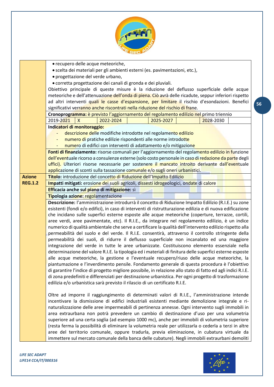

<span id="page-55-0"></span>

|                | • recupero delle acque meteoriche,                                                                           |  |  |  |  |  |  |  |  |
|----------------|--------------------------------------------------------------------------------------------------------------|--|--|--|--|--|--|--|--|
|                | • scelta dei materiali per gli ambienti esterni (es. pavimentazioni, etc.),                                  |  |  |  |  |  |  |  |  |
|                | · progettazione del verde urbano,                                                                            |  |  |  |  |  |  |  |  |
|                | • corretta progettazione dei canali di gronda e dei pluviali.                                                |  |  |  |  |  |  |  |  |
|                | Obiettivo principale di queste misure è la riduzione del deflusso superficiale delle acque                   |  |  |  |  |  |  |  |  |
|                | meteoriche e dell'attenuazione dell'onda di piena. Ciò avrà delle ricadute, seppur inferiori rispetto        |  |  |  |  |  |  |  |  |
|                | ad altri interventi quali le casse d'espansione, per limitare il rischio d'esondazioni. Benefici             |  |  |  |  |  |  |  |  |
|                | significativi verranno anche riscontrati nella riduzione del rischio di frane.                               |  |  |  |  |  |  |  |  |
|                | Cronoprogramma: è previsto l'aggiornamento del regolamento edilizio nel primo triennio                       |  |  |  |  |  |  |  |  |
|                | 2019-2021<br>$\mathsf{X}$<br>2022-2024<br>2025-2027<br>2028-2030                                             |  |  |  |  |  |  |  |  |
|                | Indicatori di monitoraggio:                                                                                  |  |  |  |  |  |  |  |  |
|                | descrizione delle modifiche introdotte nel regolamento edilizio                                              |  |  |  |  |  |  |  |  |
|                | numero di pratiche edilizie rispondenti alle norme introdotte                                                |  |  |  |  |  |  |  |  |
|                | numero di edifici con interventi di adattamento e/o mitigazione                                              |  |  |  |  |  |  |  |  |
|                | Fonti di finanziamento: risorse comunali per l'aggiornamento del regolamento edilizio in funzione            |  |  |  |  |  |  |  |  |
|                | dell'eventuale ricorso a consulenze esterne (solo costo personale in caso di redazione da parte degli        |  |  |  |  |  |  |  |  |
|                | uffici). Ulteriori risorse necessarie per sostenere il mancato introito derivante dall'eventuale             |  |  |  |  |  |  |  |  |
|                | applicazione di sconti sulla tassazione comunale e/o sugli oneri urbanistici.                                |  |  |  |  |  |  |  |  |
| <b>Azione</b>  | Titolo: introduzione del concetto di Riduzione dell'Impatto Edilizio                                         |  |  |  |  |  |  |  |  |
| <b>REG.1.2</b> | Impatti mitigati: erosione dei suoli agricoli, dissesti idrogeologici, ondate di calore                      |  |  |  |  |  |  |  |  |
|                | <b>Efficacia anche sul piano di mitigazione:</b> sì                                                          |  |  |  |  |  |  |  |  |
|                | Tipologia azione: regolamentazione                                                                           |  |  |  |  |  |  |  |  |
|                | Descrizione: l'amministrazione introdurrà il concetto di Riduzione Impatto Edilizio (R.I.E.) su zone         |  |  |  |  |  |  |  |  |
|                | esistenti (fondi e/o edifici), in caso di interventi di ristrutturazione edilizia e di nuova edificazione    |  |  |  |  |  |  |  |  |
|                | che incidano sulle superfici esterne esposte alle acque meteoriche (coperture, terrazze, cortili,            |  |  |  |  |  |  |  |  |
|                | aree verdi, aree pavimentate, etc). Il R.I.E., da integrare nel regolamento edilizio, è un indice            |  |  |  |  |  |  |  |  |
|                | numerico di qualità ambientale che serve a certificare la qualità dell'intervento edilizio rispetto alla     |  |  |  |  |  |  |  |  |
|                | permeabilità del suolo e del verde. Il R.I.E. consentirà, attraverso il controllo stringente della           |  |  |  |  |  |  |  |  |
|                | permeabilità dei suoli, di ridurre il deflusso superficiale non incanalato ed una maggiore                   |  |  |  |  |  |  |  |  |
|                | integrazione del verde in tutte le aree urbanizzate. Costituiscono elemento essenziale nella                 |  |  |  |  |  |  |  |  |
|                | determinazione del valore R.I.E. la tipologia ed i materiali di finitura delle superfici esterne esposte     |  |  |  |  |  |  |  |  |
|                | alle acque meteoriche, la gestione e l'eventuale recupero/riuso delle acque meteoriche, la                   |  |  |  |  |  |  |  |  |
|                | piantumazione e l'inverdimento pensile. Fondamento generale di questa procedura è l'obiettivo                |  |  |  |  |  |  |  |  |
|                | di garantire l'indice di progetto migliore possibile, in relazione allo stato di fatto ed agli indici R.I.E. |  |  |  |  |  |  |  |  |
|                | di zona predefiniti e differenziati per destinazione urbanistica. Per ogni progetto di trasformazione        |  |  |  |  |  |  |  |  |
|                | edilizia e/o urbanistica sarà previsto il rilascio di un certificato R.I.E.                                  |  |  |  |  |  |  |  |  |
|                |                                                                                                              |  |  |  |  |  |  |  |  |
|                | Oltre ad imporre il raggiungimento di determinati valori di R.I.E., l'amministrazione intende                |  |  |  |  |  |  |  |  |
|                | incentivare la dismissione di edifici industriali esistenti mediante demolizione integrale e ri-             |  |  |  |  |  |  |  |  |
|                | naturalizzazione delle aree impermeabili di pertinenza annesse. Ogni intervento sugli immobili in            |  |  |  |  |  |  |  |  |
|                | area extraurbana non potrà prevedere un cambio di destinazione d'uso per una volumetria                      |  |  |  |  |  |  |  |  |
|                | superiore ad una certa soglia (ad esempio 1000 mc), anche per immobili di volumetria superiore               |  |  |  |  |  |  |  |  |
|                | (resta ferma la possibilità di eliminare la volumetria reale per utilizzarla o cederla a terzi in altre      |  |  |  |  |  |  |  |  |
|                | aree del territorio comunale, oppure tradurla, previa eliminazione, in cubatura virtuale da                  |  |  |  |  |  |  |  |  |
|                | immettere sul mercato comunale della banca delle cubature). Negli immobili extraurbani demoliti              |  |  |  |  |  |  |  |  |

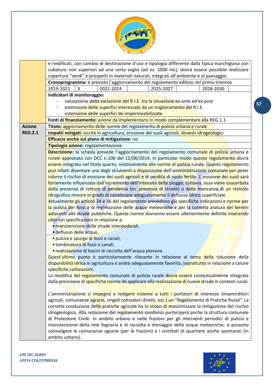

<span id="page-56-0"></span>

|                | e riedificati, con cambio di destinazione d'uso e tipologia differente dalla tipica marchigiana con        |
|----------------|------------------------------------------------------------------------------------------------------------|
|                | cubature non superiori ad una certa soglia (ad es. 1000 mc), dovrà essere possibile realizzare             |
|                | coperture "verdi" e prospetti in materiali naturali, integrati all'ambiente e al paesaggio.                |
|                | Cronoprogramma: è previsto l'aggiornamento del regolamento edilizio nel primo triennio                     |
|                | 2019-2021<br>2025-2027<br>$\boldsymbol{\mathsf{X}}$<br>2022-2024<br>2028-2030                              |
|                | Indicatori di monitoraggio:                                                                                |
|                | valutazione della variazione del R.I.E. tra la situazione ex-ante ed ex-post                               |
|                | estensione delle superfici interessate da un miglioramento del R.I.E.                                      |
|                | estensione delle superfici de-impermeabilizzate                                                            |
|                | Fonti di finanziamento: azione da implementarsi in modo complementare alla REG.1.1                         |
| <b>Azione</b>  | Titolo: aggiornamento delle norme del regolamento di polizia urbana e rurale                               |
| <b>REG.2.1</b> | Impatti mitigati: siccità in agricoltura, erosione dei suoli agricoli, dissesti idrogeologici              |
|                | Efficacia anche sul piano di mitigazione: no                                                               |
|                | Tipologia azione: regolamentazione                                                                         |
|                | Descrizione: la scheda prevede l'aggiornamento del regolamento comunale di polizia urbana e                |
|                | rurale approvato con DCC n.106 del 12/06/2014. In particolar modo questo regolamento dovrà                 |
|                | essere integrato nel titolo quarto, relativamente alle norme di polizia rurale. Questo regolamento         |
|                | può infatti diventare uno degli strumenti a disposizione dell'amministrazione comunale per poter           |
|                | ridurre il rischio di erosione dei suoli agricoli e di perdita di suolo fertile. L'erosione dei suoli sarà |
|                | fortemente influenzata dall'incremento dell'intensità delle piogge; tuttavia, essa viene esacerbata        |
|                | dalla presenza di rotture di pendenza (es. presenza di strade) o dalla mancanza di un reticolo             |
|                | idrografico minore in grado di canalizzare adeguatamente il deflusso idrico superficiale.                  |
|                | Attualmente gli articoli 34 e 36 del regolamento prevedono già specifiche indicazioni e norme per          |
|                | la pulizia dei fossi e la regimazione delle acque meteoriche e per la corretta aratura dei terreni         |
|                | adiacenti alle strade pubbliche. Queste norme dovranno essere ulteriormente definite inserendo             |
|                | ulteriori specificazioni in relazione a:                                                                   |
|                | · manutenzione delle strade interpoderali,                                                                 |
|                | · deflusso delle acque,                                                                                    |
|                | · pulizia e spurgo di fossi e canali,                                                                      |
|                | · tombinatura di fossi e canali,                                                                           |
|                | · realizzazione di bacini di raccolta dell'acqua piovana.                                                  |
|                | Quest'ultimo punto è particolarmente rilevante in relazione al tema della riduzione della                  |
|                | disponibilità idrica in agricoltura e andrà adeguatamente favorito, soprattutto in relazione a talune      |
|                | specifiche coltivazioni.                                                                                   |
|                | La modifica del regolamento comunale di polizia rurale dovrà essere contestualmente integrata              |
|                | dalla previsione di specifiche norme da applicare alla realizzazione di nuove strade in contesti rurali.   |
|                | L'amministrazione si impegna a redigere insieme a tutti i portatori di interesse (imprenditori             |
|                | agricoli, comunanze agrarie, singoli coltivatori diretti, ecc.) un "Regolamento di Pratiche Rurali". La    |
|                | corretta conduzione delle pratiche agricole ha lo scopo di massimizzare la mitigazione del rischio         |
|                | idrogeologico. Alla redazione del regolamento condiviso parteciperà anche la struttura comunale            |
|                | di Protezione Civile. In ambito urbano e nelle frazioni per gli interventi periodici di pulizia e          |
|                | manutenzione della rete fognaria e di raccolta e drenaggio delle acque meteoriche, si possono              |
|                | coinvolgere le comunanze agrarie (per le frazioni) e i comitati di quartiere anche spontanei (in           |
|                | ambito urbano).                                                                                            |
|                |                                                                                                            |